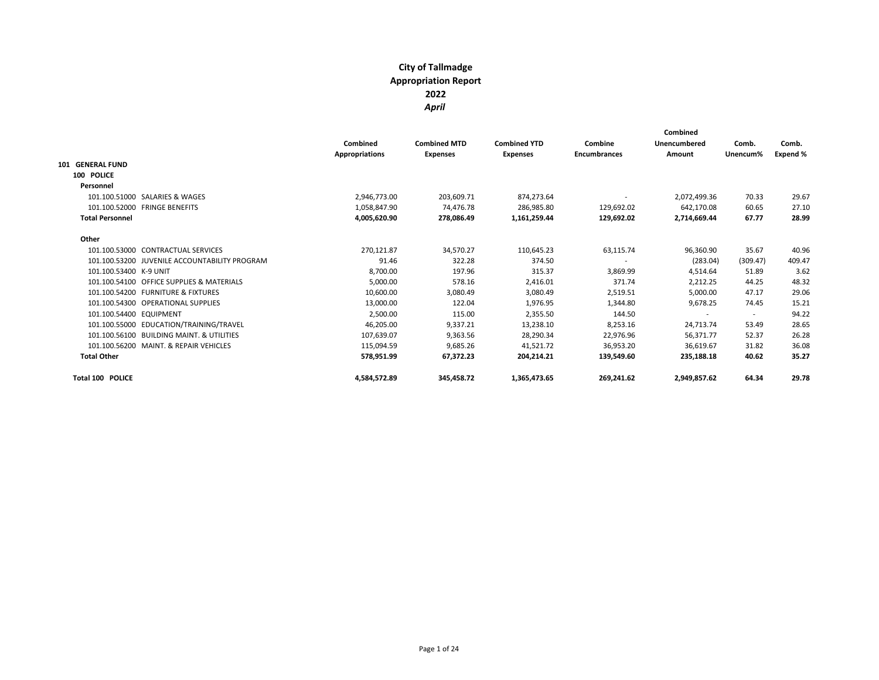|                                               | Combined<br><b>Appropriations</b> | <b>Combined MTD</b><br><b>Expenses</b> | <b>Combined YTD</b><br><b>Expenses</b> | Combine<br><b>Encumbrances</b> | Combined<br>Unencumbered<br>Amount | Comb.<br>Unencum%        | Comb.<br>Expend % |
|-----------------------------------------------|-----------------------------------|----------------------------------------|----------------------------------------|--------------------------------|------------------------------------|--------------------------|-------------------|
| <b>GENERAL FUND</b><br>101                    |                                   |                                        |                                        |                                |                                    |                          |                   |
| 100 POLICE                                    |                                   |                                        |                                        |                                |                                    |                          |                   |
| Personnel                                     |                                   |                                        |                                        |                                |                                    |                          |                   |
| 101.100.51000 SALARIES & WAGES                | 2,946,773.00                      | 203,609.71                             | 874,273.64                             |                                | 2,072,499.36                       | 70.33                    | 29.67             |
| 101.100.52000 FRINGE BENEFITS                 | 1,058,847.90                      | 74.476.78                              | 286.985.80                             | 129,692.02                     | 642.170.08                         | 60.65                    | 27.10             |
| <b>Total Personnel</b>                        | 4,005,620.90                      | 278,086.49                             | 1,161,259.44                           | 129,692.02                     | 2,714,669.44                       | 67.77                    | 28.99             |
| Other                                         |                                   |                                        |                                        |                                |                                    |                          |                   |
| 101.100.53000 CONTRACTUAL SERVICES            | 270,121.87                        | 34,570.27                              | 110,645.23                             | 63,115.74                      | 96,360.90                          | 35.67                    | 40.96             |
| 101.100.53200 JUVENILE ACCOUNTABILITY PROGRAM | 91.46                             | 322.28                                 | 374.50                                 | $\overline{\phantom{a}}$       | (283.04)                           | (309.47)                 | 409.47            |
| 101.100.53400 K-9 UNIT                        | 8,700.00                          | 197.96                                 | 315.37                                 | 3,869.99                       | 4,514.64                           | 51.89                    | 3.62              |
| 101.100.54100 OFFICE SUPPLIES & MATERIALS     | 5,000.00                          | 578.16                                 | 2,416.01                               | 371.74                         | 2,212.25                           | 44.25                    | 48.32             |
| 101.100.54200 FURNITURE & FIXTURES            | 10,600.00                         | 3,080.49                               | 3,080.49                               | 2,519.51                       | 5,000.00                           | 47.17                    | 29.06             |
| 101.100.54300 OPERATIONAL SUPPLIES            | 13,000.00                         | 122.04                                 | 1,976.95                               | 1,344.80                       | 9,678.25                           | 74.45                    | 15.21             |
| 101.100.54400 EQUIPMENT                       | 2,500.00                          | 115.00                                 | 2,355.50                               | 144.50                         | ٠                                  | $\overline{\phantom{a}}$ | 94.22             |
| 101.100.55000 EDUCATION/TRAINING/TRAVEL       | 46,205.00                         | 9,337.21                               | 13,238.10                              | 8,253.16                       | 24,713.74                          | 53.49                    | 28.65             |
| 101.100.56100 BUILDING MAINT, & UTILITIES     | 107,639.07                        | 9,363.56                               | 28,290.34                              | 22,976.96                      | 56,371.77                          | 52.37                    | 26.28             |
| 101.100.56200 MAINT, & REPAIR VEHICLES        | 115,094.59                        | 9,685.26                               | 41,521.72                              | 36,953.20                      | 36,619.67                          | 31.82                    | 36.08             |
| <b>Total Other</b>                            | 578,951.99                        | 67,372.23                              | 204,214.21                             | 139,549.60                     | 235,188.18                         | 40.62                    | 35.27             |
| <b>Total 100 POLICE</b>                       | 4,584,572.89                      | 345,458.72                             | 1,365,473.65                           | 269,241.62                     | 2,949,857.62                       | 64.34                    | 29.78             |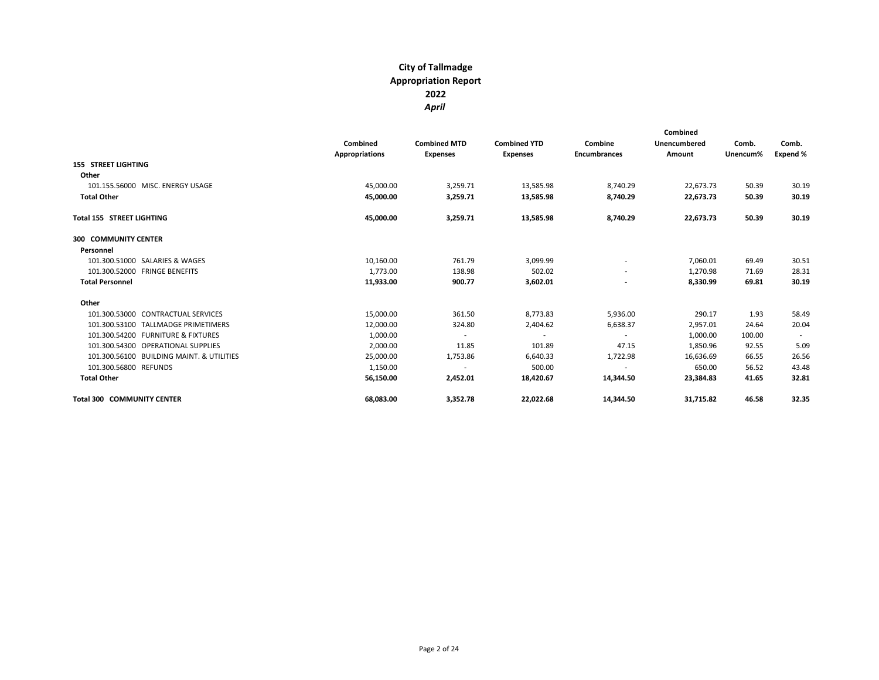|                                           | Combined<br>Appropriations | <b>Combined MTD</b><br><b>Expenses</b> | <b>Combined YTD</b><br><b>Expenses</b> | Combine<br><b>Encumbrances</b> | Combined<br>Unencumbered<br>Amount | Comb.<br>Unencum% | Comb.<br>Expend % |
|-------------------------------------------|----------------------------|----------------------------------------|----------------------------------------|--------------------------------|------------------------------------|-------------------|-------------------|
| <b>155 STREET LIGHTING</b>                |                            |                                        |                                        |                                |                                    |                   |                   |
| Other                                     |                            |                                        |                                        |                                |                                    | 50.39             |                   |
| 101.155.56000 MISC. ENERGY USAGE          | 45,000.00                  | 3,259.71                               | 13,585.98                              | 8,740.29                       | 22,673.73                          |                   | 30.19             |
| <b>Total Other</b>                        | 45,000.00                  | 3,259.71                               | 13,585.98                              | 8,740.29                       | 22,673.73                          | 50.39             | 30.19             |
| <b>Total 155 STREET LIGHTING</b>          | 45,000.00                  | 3,259.71                               | 13,585.98                              | 8,740.29                       | 22,673.73                          | 50.39             | 30.19             |
| <b>300 COMMUNITY CENTER</b>               |                            |                                        |                                        |                                |                                    |                   |                   |
| Personnel                                 |                            |                                        |                                        |                                |                                    |                   |                   |
| 101.300.51000 SALARIES & WAGES            | 10,160.00                  | 761.79                                 | 3,099.99                               | $\sim$                         | 7,060.01                           | 69.49             | 30.51             |
| 101.300.52000 FRINGE BENEFITS             | 1,773.00                   | 138.98                                 | 502.02                                 | $\overline{\phantom{a}}$       | 1,270.98                           | 71.69             | 28.31             |
| <b>Total Personnel</b>                    | 11,933.00                  | 900.77                                 | 3,602.01                               |                                | 8,330.99                           | 69.81             | 30.19             |
| Other                                     |                            |                                        |                                        |                                |                                    |                   |                   |
| 101.300.53000 CONTRACTUAL SERVICES        | 15,000.00                  | 361.50                                 | 8,773.83                               | 5,936.00                       | 290.17                             | 1.93              | 58.49             |
| 101.300.53100 TALLMADGE PRIMETIMERS       | 12,000.00                  | 324.80                                 | 2,404.62                               | 6,638.37                       | 2,957.01                           | 24.64             | 20.04             |
| 101.300.54200 FURNITURE & FIXTURES        | 1,000.00                   | $\sim$                                 | $\sim$                                 | $\sim$                         | 1,000.00                           | 100.00            | $\sim$            |
| 101.300.54300 OPERATIONAL SUPPLIES        | 2,000.00                   | 11.85                                  | 101.89                                 | 47.15                          | 1,850.96                           | 92.55             | 5.09              |
| 101.300.56100 BUILDING MAINT. & UTILITIES | 25,000.00                  | 1,753.86                               | 6,640.33                               | 1,722.98                       | 16,636.69                          | 66.55             | 26.56             |
| 101.300.56800 REFUNDS                     | 1,150.00                   | $\sim$                                 | 500.00                                 | $\sim$                         | 650.00                             | 56.52             | 43.48             |
| <b>Total Other</b>                        | 56,150.00                  | 2,452.01                               | 18,420.67                              | 14,344.50                      | 23,384.83                          | 41.65             | 32.81             |
| <b>Total 300 COMMUNITY CENTER</b>         | 68,083.00                  | 3,352.78                               | 22,022.68                              | 14,344.50                      | 31,715.82                          | 46.58             | 32.35             |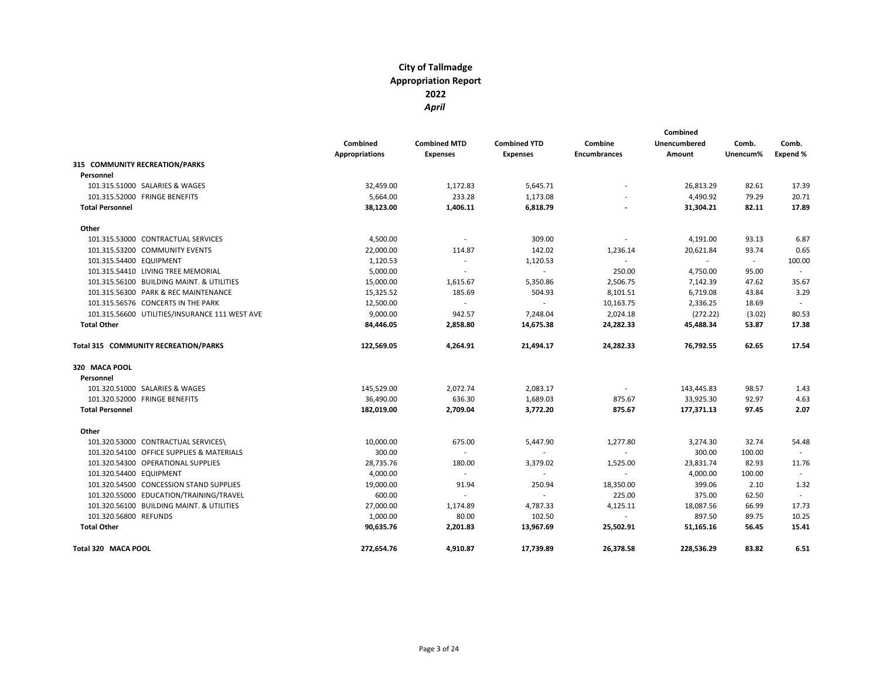|                                                |                       |                     |                             | Combined                 |                          |          |                          |
|------------------------------------------------|-----------------------|---------------------|-----------------------------|--------------------------|--------------------------|----------|--------------------------|
|                                                | Combined              | <b>Combined MTD</b> | <b>Combined YTD</b>         | Combine                  | Unencumbered             | Comb.    | Comb.                    |
|                                                | <b>Appropriations</b> | <b>Expenses</b>     | <b>Expenses</b>             | <b>Encumbrances</b>      | Amount                   | Unencum% | Expend %                 |
| 315 COMMUNITY RECREATION/PARKS                 |                       |                     |                             |                          |                          |          |                          |
| Personnel                                      |                       |                     |                             |                          |                          |          |                          |
| 101.315.51000 SALARIES & WAGES                 | 32,459.00             | 1,172.83            | 5,645.71                    |                          | 26,813.29                | 82.61    | 17.39                    |
| 101.315.52000 FRINGE BENEFITS                  | 5,664.00              | 233.28              | 1,173.08                    |                          | 4,490.92                 | 79.29    | 20.71                    |
| <b>Total Personnel</b>                         | 38,123.00             | 1,406.11            | 6,818.79                    |                          | 31,304.21                | 82.11    | 17.89                    |
| Other                                          |                       |                     |                             |                          |                          |          |                          |
| 101.315.53000 CONTRACTUAL SERVICES             | 4,500.00              | $\sim$              | 309.00                      | ÷.                       | 4,191.00                 | 93.13    | 6.87                     |
| 101.315.53200 COMMUNITY EVENTS                 | 22,000.00             | 114.87              | 142.02                      | 1,236.14                 | 20,621.84                | 93.74    | 0.65                     |
| 101.315.54400 EQUIPMENT                        | 1,120.53              | $\sim$              | 1,120.53                    | $\sim$                   | $\overline{\phantom{a}}$ | $\sim$   | 100.00                   |
| 101.315.54410 LIVING TREE MEMORIAL             | 5,000.00              | $\sim$              | $\sim$                      | 250.00                   | 4,750.00                 | 95.00    |                          |
| 101.315.56100 BUILDING MAINT. & UTILITIES      | 15,000.00             | 1,615.67            | 5,350.86                    | 2,506.75                 | 7,142.39                 | 47.62    | 35.67                    |
| 101.315.56300 PARK & REC MAINTENANCE           | 15,325.52             | 185.69              | 504.93                      | 8,101.51                 | 6,719.08                 | 43.84    | 3.29                     |
| 101.315.56576 CONCERTS IN THE PARK             | 12,500.00             | $\sim$              | $\sim$                      | 10,163.75                | 2,336.25                 | 18.69    | $\overline{\phantom{a}}$ |
| 101.315.56600 UTILITIES/INSURANCE 111 WEST AVE | 9,000.00              | 942.57              | 7,248.04                    | 2,024.18                 | (272.22)                 | (3.02)   | 80.53                    |
| <b>Total Other</b>                             | 84,446.05             | 2,858.80            | 14,675.38                   | 24,282.33                | 45,488.34                | 53.87    | 17.38                    |
| Total 315 COMMUNITY RECREATION/PARKS           | 122,569.05            | 4,264.91            | 21,494.17                   | 24,282.33                | 76,792.55                | 62.65    | 17.54                    |
| 320 MACA POOL                                  |                       |                     |                             |                          |                          |          |                          |
| Personnel                                      |                       |                     |                             |                          |                          |          |                          |
| 101.320.51000 SALARIES & WAGES                 | 145,529.00            | 2,072.74            | 2,083.17                    | $\overline{\phantom{a}}$ | 143,445.83               | 98.57    | 1.43                     |
| 101.320.52000 FRINGE BENEFITS                  | 36,490.00             | 636.30              | 1,689.03                    | 875.67                   | 33,925.30                | 92.97    | 4.63                     |
| <b>Total Personnel</b>                         | 182,019.00            | 2,709.04            | 3,772.20                    | 875.67                   | 177,371.13               | 97.45    | 2.07                     |
| Other                                          |                       |                     |                             |                          |                          |          |                          |
| 101.320.53000 CONTRACTUAL SERVICES\            | 10,000.00             | 675.00              | 5,447.90                    | 1,277.80                 | 3,274.30                 | 32.74    | 54.48                    |
| 101.320.54100 OFFICE SUPPLIES & MATERIALS      | 300.00                |                     | $\sim$                      | $\sim$                   | 300.00                   | 100.00   |                          |
| 101.320.54300 OPERATIONAL SUPPLIES             | 28,735.76             | 180.00              | 3,379.02                    | 1,525.00                 | 23,831.74                | 82.93    | 11.76                    |
| 101.320.54400 EQUIPMENT                        | 4,000.00              | $\sim$              | $\mathcal{L}_{\mathcal{A}}$ | ÷.                       | 4,000.00                 | 100.00   |                          |
| 101.320.54500 CONCESSION STAND SUPPLIES        | 19,000.00             | 91.94               | 250.94                      | 18,350.00                | 399.06                   | 2.10     | 1.32                     |
| 101.320.55000 EDUCATION/TRAINING/TRAVEL        | 600.00                | $\mathbf{r}$        | $\sim$                      | 225.00                   | 375.00                   | 62.50    | $\sim$                   |
| 101.320.56100 BUILDING MAINT. & UTILITIES      | 27,000.00             | 1,174.89            | 4,787.33                    | 4,125.11                 | 18,087.56                | 66.99    | 17.73                    |
| 101.320.56800 REFUNDS                          | 1,000.00              | 80.00               | 102.50                      | $\sim$                   | 897.50                   | 89.75    | 10.25                    |
| <b>Total Other</b>                             | 90,635.76             | 2,201.83            | 13,967.69                   | 25,502.91                | 51,165.16                | 56.45    | 15.41                    |
| Total 320 MACA POOL                            | 272,654.76            | 4,910.87            | 17,739.89                   | 26,378.58                | 228,536.29               | 83.82    | 6.51                     |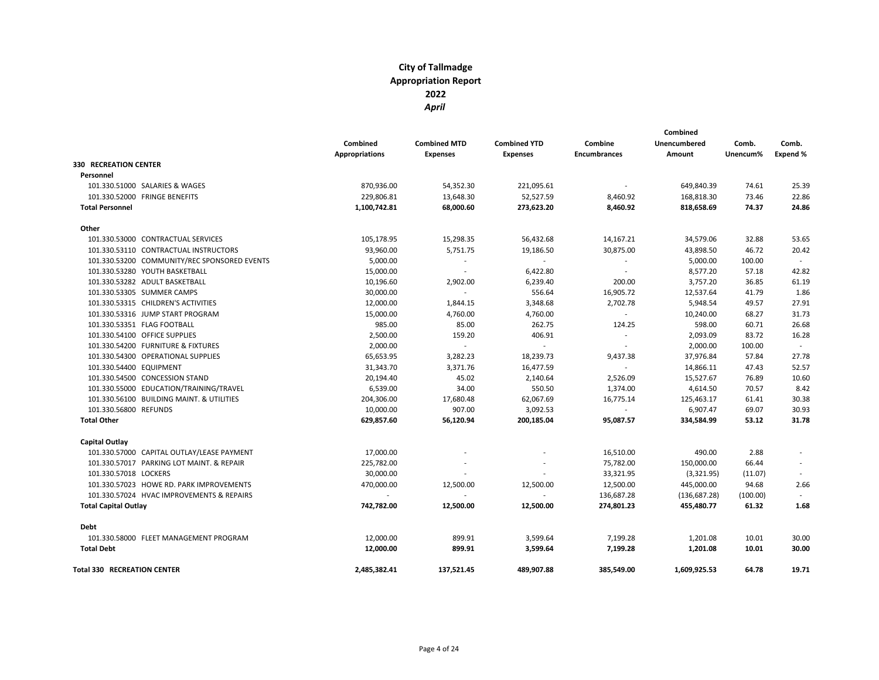|                                              |                       |                     |                     |                     | Combined            |          |          |  |
|----------------------------------------------|-----------------------|---------------------|---------------------|---------------------|---------------------|----------|----------|--|
|                                              | Combined              | <b>Combined MTD</b> | <b>Combined YTD</b> | Combine             | <b>Unencumbered</b> | Comb.    | Comb.    |  |
|                                              | <b>Appropriations</b> | <b>Expenses</b>     | <b>Expenses</b>     | <b>Encumbrances</b> | Amount              | Unencum% | Expend % |  |
| <b>330 RECREATION CENTER</b>                 |                       |                     |                     |                     |                     |          |          |  |
| Personnel                                    |                       |                     |                     |                     |                     |          |          |  |
| 101.330.51000 SALARIES & WAGES               | 870,936.00            | 54,352.30           | 221,095.61          |                     | 649,840.39          | 74.61    | 25.39    |  |
| 101.330.52000 FRINGE BENEFITS                | 229,806.81            | 13,648.30           | 52,527.59           | 8,460.92            | 168,818.30          | 73.46    | 22.86    |  |
| <b>Total Personnel</b>                       | 1,100,742.81          | 68,000.60           | 273,623.20          | 8,460.92            | 818,658.69          | 74.37    | 24.86    |  |
| Other                                        |                       |                     |                     |                     |                     |          |          |  |
| 101.330.53000 CONTRACTUAL SERVICES           | 105,178.95            | 15,298.35           | 56,432.68           | 14,167.21           | 34,579.06           | 32.88    | 53.65    |  |
| 101.330.53110 CONTRACTUAL INSTRUCTORS        | 93,960.00             | 5,751.75            | 19,186.50           | 30,875.00           | 43,898.50           | 46.72    | 20.42    |  |
| 101.330.53200 COMMUNITY/REC SPONSORED EVENTS | 5,000.00              | $\sim$              | $\sim$              | $\sim$              | 5,000.00            | 100.00   | $\sim$   |  |
| 101.330.53280 YOUTH BASKETBALL               | 15,000.00             | $\sim$              | 6,422.80            |                     | 8,577.20            | 57.18    | 42.82    |  |
| 101.330.53282 ADULT BASKETBALL               | 10,196.60             | 2,902.00            | 6,239.40            | 200.00              | 3,757.20            | 36.85    | 61.19    |  |
| 101.330.53305 SUMMER CAMPS                   | 30,000.00             | $\sim$              | 556.64              | 16,905.72           | 12,537.64           | 41.79    | 1.86     |  |
| 101.330.53315 CHILDREN'S ACTIVITIES          | 12,000.00             | 1,844.15            | 3,348.68            | 2,702.78            | 5,948.54            | 49.57    | 27.91    |  |
| 101.330.53316 JUMP START PROGRAM             | 15,000.00             | 4,760.00            | 4,760.00            |                     | 10,240.00           | 68.27    | 31.73    |  |
| 101.330.53351 FLAG FOOTBALL                  | 985.00                | 85.00               | 262.75              | 124.25              | 598.00              | 60.71    | 26.68    |  |
| 101.330.54100 OFFICE SUPPLIES                | 2,500.00              | 159.20              | 406.91              | $\sim$              | 2,093.09            | 83.72    | 16.28    |  |
| 101.330.54200 FURNITURE & FIXTURES           | 2,000.00              |                     | $\sim$              | $\sim$              | 2,000.00            | 100.00   | $\sim$   |  |
| 101.330.54300 OPERATIONAL SUPPLIES           | 65,653.95             | 3,282.23            | 18,239.73           | 9,437.38            | 37,976.84           | 57.84    | 27.78    |  |
| 101.330.54400 EQUIPMENT                      | 31,343.70             | 3,371.76            | 16,477.59           |                     | 14,866.11           | 47.43    | 52.57    |  |
| 101.330.54500 CONCESSION STAND               | 20,194.40             | 45.02               | 2,140.64            | 2,526.09            | 15,527.67           | 76.89    | 10.60    |  |
| 101.330.55000 EDUCATION/TRAINING/TRAVEL      | 6,539.00              | 34.00               | 550.50              | 1,374.00            | 4,614.50            | 70.57    | 8.42     |  |
| 101.330.56100 BUILDING MAINT. & UTILITIES    | 204,306.00            | 17,680.48           | 62,067.69           | 16,775.14           | 125,463.17          | 61.41    | 30.38    |  |
| 101.330.56800 REFUNDS                        | 10,000.00             | 907.00              | 3,092.53            |                     | 6,907.47            | 69.07    | 30.93    |  |
| <b>Total Other</b>                           | 629,857.60            | 56,120.94           | 200,185.04          | 95,087.57           | 334,584.99          | 53.12    | 31.78    |  |
| Capital Outlay                               |                       |                     |                     |                     |                     |          |          |  |
| 101.330.57000 CAPITAL OUTLAY/LEASE PAYMENT   | 17,000.00             |                     |                     | 16,510.00           | 490.00              | 2.88     |          |  |
| 101.330.57017 PARKING LOT MAINT. & REPAIR    | 225,782.00            |                     |                     | 75,782.00           | 150,000.00          | 66.44    |          |  |
| 101.330.57018 LOCKERS                        | 30,000.00             |                     |                     | 33,321.95           | (3,321.95)          | (11.07)  |          |  |
| 101.330.57023 HOWE RD. PARK IMPROVEMENTS     | 470,000.00            | 12,500.00           | 12,500.00           | 12,500.00           | 445,000.00          | 94.68    | 2.66     |  |
| 101.330.57024 HVAC IMPROVEMENTS & REPAIRS    |                       |                     |                     | 136,687.28          | (136, 687.28)       | (100.00) |          |  |
| <b>Total Capital Outlay</b>                  | 742,782.00            | 12,500.00           | 12,500.00           | 274,801.23          | 455,480.77          | 61.32    | 1.68     |  |
| <b>Debt</b>                                  |                       |                     |                     |                     |                     |          |          |  |
| 101.330.58000 FLEET MANAGEMENT PROGRAM       | 12,000.00             | 899.91              | 3,599.64            | 7,199.28            | 1,201.08            | 10.01    | 30.00    |  |
| <b>Total Debt</b>                            | 12,000.00             | 899.91              | 3,599.64            | 7,199.28            | 1,201.08            | 10.01    | 30.00    |  |
| <b>Total 330 RECREATION CENTER</b>           | 2,485,382.41          | 137,521.45          | 489,907.88          | 385,549.00          | 1,609,925.53        | 64.78    | 19.71    |  |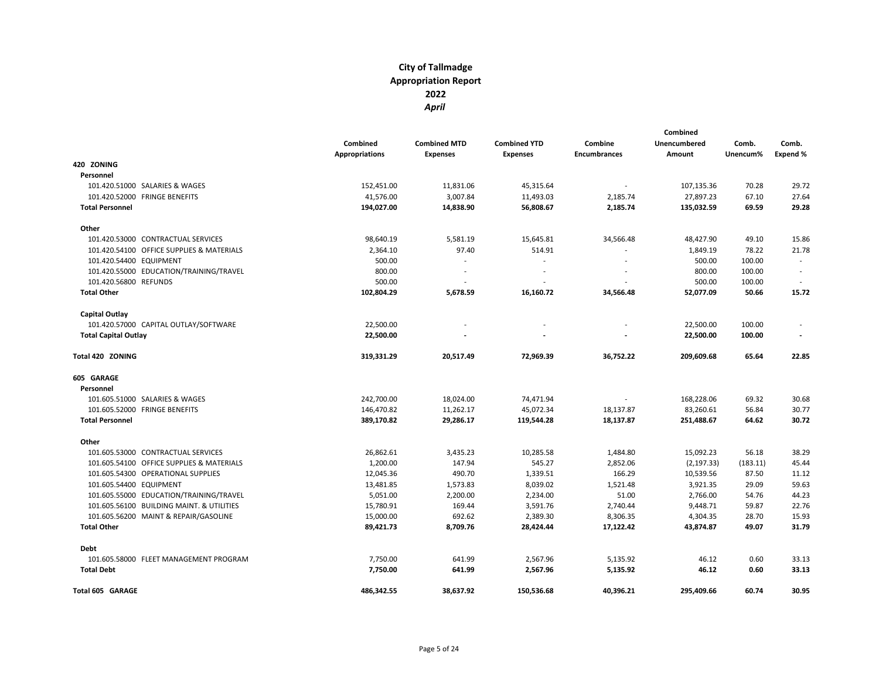|                                           |                       |                     |                     |                          | Combined            |          |          |
|-------------------------------------------|-----------------------|---------------------|---------------------|--------------------------|---------------------|----------|----------|
|                                           | Combined              | <b>Combined MTD</b> | <b>Combined YTD</b> | Combine                  | <b>Unencumbered</b> | Comb.    | Comb.    |
|                                           | <b>Appropriations</b> | <b>Expenses</b>     | Expenses            | Encumbrances             | Amount              | Unencum% | Expend % |
| 420 ZONING                                |                       |                     |                     |                          |                     |          |          |
| Personnel                                 |                       |                     |                     |                          |                     |          |          |
| 101.420.51000 SALARIES & WAGES            | 152,451.00            | 11,831.06           | 45,315.64           | ÷.                       | 107,135.36          | 70.28    | 29.72    |
| 101.420.52000 FRINGE BENEFITS             | 41,576.00             | 3,007.84            | 11,493.03           | 2,185.74                 | 27,897.23           | 67.10    | 27.64    |
| <b>Total Personnel</b>                    | 194,027.00            | 14,838.90           | 56,808.67           | 2,185.74                 | 135,032.59          | 69.59    | 29.28    |
| Other                                     |                       |                     |                     |                          |                     |          |          |
| 101.420.53000 CONTRACTUAL SERVICES        | 98,640.19             | 5,581.19            | 15,645.81           | 34,566.48                | 48,427.90           | 49.10    | 15.86    |
| 101.420.54100 OFFICE SUPPLIES & MATERIALS | 2,364.10              | 97.40               | 514.91              |                          | 1,849.19            | 78.22    | 21.78    |
| 101.420.54400 EQUIPMENT                   | 500.00                |                     | ÷,                  |                          | 500.00              | 100.00   |          |
| 101.420.55000 EDUCATION/TRAINING/TRAVEL   | 800.00                |                     |                     |                          | 800.00              | 100.00   |          |
| 101.420.56800 REFUNDS                     | 500.00                |                     |                     |                          | 500.00              | 100.00   |          |
| <b>Total Other</b>                        | 102,804.29            | 5,678.59            | 16,160.72           | 34,566.48                | 52,077.09           | 50.66    | 15.72    |
| Capital Outlay                            |                       |                     |                     |                          |                     |          |          |
| 101.420.57000 CAPITAL OUTLAY/SOFTWARE     | 22,500.00             |                     |                     |                          | 22,500.00           | 100.00   |          |
| <b>Total Capital Outlay</b>               | 22,500.00             |                     | $\overline{a}$      |                          | 22,500.00           | 100.00   |          |
| Total 420 ZONING                          | 319,331.29            | 20,517.49           | 72,969.39           | 36,752.22                | 209,609.68          | 65.64    | 22.85    |
| 605 GARAGE                                |                       |                     |                     |                          |                     |          |          |
| Personnel                                 |                       |                     |                     |                          |                     |          |          |
| 101.605.51000 SALARIES & WAGES            | 242,700.00            | 18,024.00           | 74,471.94           | $\overline{\phantom{a}}$ | 168,228.06          | 69.32    | 30.68    |
| 101.605.52000 FRINGE BENEFITS             | 146,470.82            | 11,262.17           | 45,072.34           | 18,137.87                | 83,260.61           | 56.84    | 30.77    |
| <b>Total Personnel</b>                    | 389,170.82            | 29,286.17           | 119,544.28          | 18,137.87                | 251,488.67          | 64.62    | 30.72    |
| Other                                     |                       |                     |                     |                          |                     |          |          |
| 101.605.53000 CONTRACTUAL SERVICES        | 26,862.61             | 3,435.23            | 10,285.58           | 1,484.80                 | 15,092.23           | 56.18    | 38.29    |
| 101.605.54100 OFFICE SUPPLIES & MATERIALS | 1,200.00              | 147.94              | 545.27              | 2,852.06                 | (2, 197.33)         | (183.11) | 45.44    |
| 101.605.54300 OPERATIONAL SUPPLIES        | 12,045.36             | 490.70              | 1,339.51            | 166.29                   | 10,539.56           | 87.50    | 11.12    |
| 101.605.54400 EQUIPMENT                   | 13,481.85             | 1,573.83            | 8,039.02            | 1,521.48                 | 3,921.35            | 29.09    | 59.63    |
| 101.605.55000 EDUCATION/TRAINING/TRAVEL   | 5,051.00              | 2,200.00            | 2,234.00            | 51.00                    | 2,766.00            | 54.76    | 44.23    |
| 101.605.56100 BUILDING MAINT. & UTILITIES | 15,780.91             | 169.44              | 3,591.76            | 2,740.44                 | 9,448.71            | 59.87    | 22.76    |
| 101.605.56200 MAINT & REPAIR/GASOLINE     | 15,000.00             | 692.62              | 2,389.30            | 8,306.35                 | 4,304.35            | 28.70    | 15.93    |
| <b>Total Other</b>                        | 89,421.73             | 8,709.76            | 28,424.44           | 17,122.42                | 43,874.87           | 49.07    | 31.79    |
| Debt                                      |                       |                     |                     |                          |                     |          |          |
| 101.605.58000 FLEET MANAGEMENT PROGRAM    | 7,750.00              | 641.99              | 2,567.96            | 5,135.92                 | 46.12               | 0.60     | 33.13    |
| <b>Total Debt</b>                         | 7,750.00              | 641.99              | 2,567.96            | 5,135.92                 | 46.12               | 0.60     | 33.13    |
| Total 605 GARAGE                          | 486,342.55            | 38,637.92           | 150,536.68          | 40,396.21                | 295,409.66          | 60.74    | 30.95    |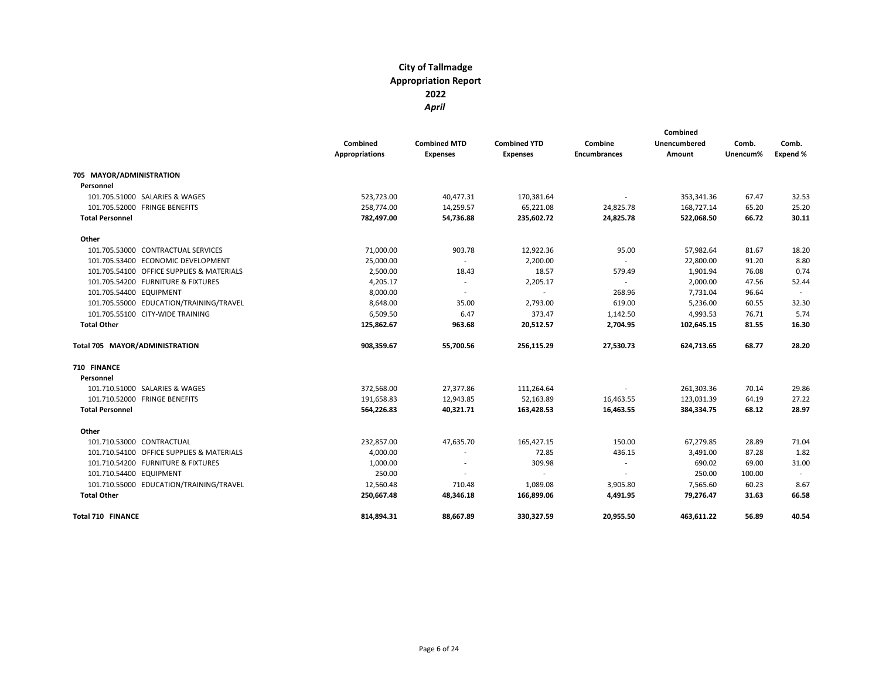|                                           | Combined<br><b>Appropriations</b> | <b>Combined MTD</b><br><b>Expenses</b> | <b>Combined YTD</b><br><b>Expenses</b> | Combine<br><b>Encumbrances</b> | Combined<br>Unencumbered<br>Amount | Comb.<br>Unencum% | Comb.<br>Expend % |
|-------------------------------------------|-----------------------------------|----------------------------------------|----------------------------------------|--------------------------------|------------------------------------|-------------------|-------------------|
| 705 MAYOR/ADMINISTRATION                  |                                   |                                        |                                        |                                |                                    |                   |                   |
| Personnel                                 |                                   |                                        |                                        |                                |                                    |                   |                   |
| 101.705.51000 SALARIES & WAGES            | 523,723.00                        | 40,477.31                              | 170,381.64                             | $\sim$                         | 353,341.36                         | 67.47             | 32.53             |
| 101.705.52000 FRINGE BENEFITS             | 258,774.00                        | 14,259.57                              | 65,221.08                              | 24,825.78                      | 168,727.14                         | 65.20             | 25.20             |
| <b>Total Personnel</b>                    | 782,497.00                        | 54,736.88                              | 235,602.72                             | 24,825.78                      | 522,068.50                         | 66.72             | 30.11             |
| Other                                     |                                   |                                        |                                        |                                |                                    |                   |                   |
| 101.705.53000 CONTRACTUAL SERVICES        | 71,000.00                         | 903.78                                 | 12,922.36                              | 95.00                          | 57,982.64                          | 81.67             | 18.20             |
| 101.705.53400 ECONOMIC DEVELOPMENT        | 25,000.00                         | $\sim$                                 | 2,200.00                               | $\sim$                         | 22,800.00                          | 91.20             | 8.80              |
| 101.705.54100 OFFICE SUPPLIES & MATERIALS | 2,500.00                          | 18.43                                  | 18.57                                  | 579.49                         | 1,901.94                           | 76.08             | 0.74              |
| 101.705.54200 FURNITURE & FIXTURES        | 4,205.17                          | $\sim$                                 | 2,205.17                               |                                | 2,000.00                           | 47.56             | 52.44             |
| 101.705.54400 EQUIPMENT                   | 8,000.00                          | $\sim$                                 | $\sim$                                 | 268.96                         | 7,731.04                           | 96.64             |                   |
| 101.705.55000 EDUCATION/TRAINING/TRAVEL   | 8,648.00                          | 35.00                                  | 2,793.00                               | 619.00                         | 5,236.00                           | 60.55             | 32.30             |
| 101.705.55100 CITY-WIDE TRAINING          | 6,509.50                          | 6.47                                   | 373.47                                 | 1,142.50                       | 4,993.53                           | 76.71             | 5.74              |
| <b>Total Other</b>                        | 125,862.67                        | 963.68                                 | 20,512.57                              | 2,704.95                       | 102,645.15                         | 81.55             | 16.30             |
| Total 705 MAYOR/ADMINISTRATION            | 908,359.67                        | 55,700.56                              | 256,115.29                             | 27,530.73                      | 624,713.65                         | 68.77             | 28.20             |
| 710 FINANCE                               |                                   |                                        |                                        |                                |                                    |                   |                   |
| Personnel                                 |                                   |                                        |                                        |                                |                                    |                   |                   |
| 101.710.51000 SALARIES & WAGES            | 372,568.00                        | 27,377.86                              | 111,264.64                             |                                | 261,303.36                         | 70.14             | 29.86             |
| 101.710.52000 FRINGE BENEFITS             | 191,658.83                        | 12,943.85                              | 52,163.89                              | 16,463.55                      | 123,031.39                         | 64.19             | 27.22             |
| <b>Total Personnel</b>                    | 564,226.83                        | 40,321.71                              | 163,428.53                             | 16,463.55                      | 384,334.75                         | 68.12             | 28.97             |
| Other                                     |                                   |                                        |                                        |                                |                                    |                   |                   |
| 101.710.53000 CONTRACTUAL                 | 232,857.00                        | 47,635.70                              | 165,427.15                             | 150.00                         | 67,279.85                          | 28.89             | 71.04             |
| 101.710.54100 OFFICE SUPPLIES & MATERIALS | 4,000.00                          | $\sim$                                 | 72.85                                  | 436.15                         | 3,491.00                           | 87.28             | 1.82              |
| 101.710.54200 FURNITURE & FIXTURES        | 1,000.00                          |                                        | 309.98                                 | $\sim$                         | 690.02                             | 69.00             | 31.00             |
| 101.710.54400 EQUIPMENT                   | 250.00                            |                                        | $\sim$                                 | $\sim$                         | 250.00                             | 100.00            | $\sim$            |
| 101.710.55000 EDUCATION/TRAINING/TRAVEL   | 12,560.48                         | 710.48                                 | 1,089.08                               | 3,905.80                       | 7,565.60                           | 60.23             | 8.67              |
| <b>Total Other</b>                        | 250,667.48                        | 48,346.18                              | 166,899.06                             | 4,491.95                       | 79,276.47                          | 31.63             | 66.58             |
| <b>Total 710 FINANCE</b>                  | 814,894.31                        | 88,667.89                              | 330,327.59                             | 20,955.50                      | 463,611.22                         | 56.89             | 40.54             |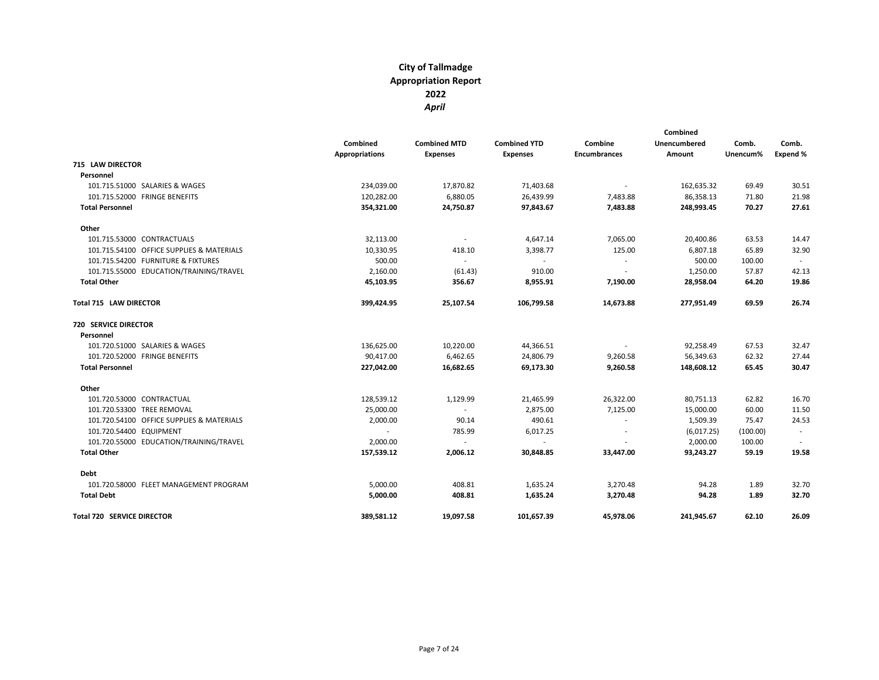|                                           | Combined<br><b>Appropriations</b> | <b>Combined MTD</b><br><b>Expenses</b> | <b>Combined YTD</b><br><b>Expenses</b> | Combine<br><b>Encumbrances</b> | Combined<br>Unencumbered<br>Amount | Comb.<br>Unencum% | Comb.<br><b>Expend %</b> |
|-------------------------------------------|-----------------------------------|----------------------------------------|----------------------------------------|--------------------------------|------------------------------------|-------------------|--------------------------|
| <b>715 LAW DIRECTOR</b>                   |                                   |                                        |                                        |                                |                                    |                   |                          |
| Personnel                                 |                                   |                                        |                                        |                                |                                    |                   |                          |
| 101.715.51000 SALARIES & WAGES            | 234,039.00                        | 17,870.82                              | 71,403.68                              | $\sim$                         | 162,635.32                         | 69.49             | 30.51                    |
| 101.715.52000 FRINGE BENEFITS             | 120,282.00                        | 6,880.05                               | 26,439.99                              | 7,483.88                       | 86,358.13                          | 71.80             | 21.98                    |
| <b>Total Personnel</b>                    | 354,321.00                        | 24,750.87                              | 97,843.67                              | 7,483.88                       | 248,993.45                         | 70.27             | 27.61                    |
| Other                                     |                                   |                                        |                                        |                                |                                    |                   |                          |
| 101.715.53000 CONTRACTUALS                | 32,113.00                         | $\sim$                                 | 4,647.14                               | 7,065.00                       | 20,400.86                          | 63.53             | 14.47                    |
| 101.715.54100 OFFICE SUPPLIES & MATERIALS | 10,330.95                         | 418.10                                 | 3,398.77                               | 125.00                         | 6,807.18                           | 65.89             | 32.90                    |
| 101.715.54200 FURNITURE & FIXTURES        | 500.00                            | $\sim$                                 | $\sim$                                 | $\sim$                         | 500.00                             | 100.00            |                          |
| 101.715.55000 EDUCATION/TRAINING/TRAVEL   | 2,160.00                          | (61.43)                                | 910.00                                 | $\sim$                         | 1,250.00                           | 57.87             | 42.13                    |
| <b>Total Other</b>                        | 45,103.95                         | 356.67                                 | 8,955.91                               | 7,190.00                       | 28,958.04                          | 64.20             | 19.86                    |
| Total 715 LAW DIRECTOR                    | 399,424.95                        | 25,107.54                              | 106,799.58                             | 14,673.88                      | 277,951.49                         | 69.59             | 26.74                    |
| <b>720 SERVICE DIRECTOR</b>               |                                   |                                        |                                        |                                |                                    |                   |                          |
| Personnel                                 |                                   |                                        |                                        |                                |                                    |                   |                          |
| 101.720.51000 SALARIES & WAGES            | 136,625.00                        | 10,220.00                              | 44,366.51                              | $\sim$                         | 92,258.49                          | 67.53             | 32.47                    |
| 101.720.52000 FRINGE BENEFITS             | 90,417.00                         | 6,462.65                               | 24,806.79                              | 9,260.58                       | 56,349.63                          | 62.32             | 27.44                    |
| <b>Total Personnel</b>                    | 227,042.00                        | 16,682.65                              | 69,173.30                              | 9,260.58                       | 148,608.12                         | 65.45             | 30.47                    |
| Other                                     |                                   |                                        |                                        |                                |                                    |                   |                          |
| 101.720.53000 CONTRACTUAL                 | 128,539.12                        | 1,129.99                               | 21,465.99                              | 26,322.00                      | 80,751.13                          | 62.82             | 16.70                    |
| 101.720.53300 TREE REMOVAL                | 25,000.00                         | $\sim$                                 | 2,875.00                               | 7,125.00                       | 15,000.00                          | 60.00             | 11.50                    |
| 101.720.54100 OFFICE SUPPLIES & MATERIALS | 2,000.00                          | 90.14                                  | 490.61                                 | $\sim$                         | 1,509.39                           | 75.47             | 24.53                    |
| 101.720.54400 EQUIPMENT                   |                                   | 785.99                                 | 6,017.25                               | $\sim$                         | (6,017.25)                         | (100.00)          | $\sim$                   |
| 101.720.55000 EDUCATION/TRAINING/TRAVEL   | 2,000.00                          | $\sim$                                 | $\sim$                                 |                                | 2,000.00                           | 100.00            |                          |
| <b>Total Other</b>                        | 157,539.12                        | 2,006.12                               | 30,848.85                              | 33,447.00                      | 93,243.27                          | 59.19             | 19.58                    |
| Debt                                      |                                   |                                        |                                        |                                |                                    |                   |                          |
| 101.720.58000 FLEET MANAGEMENT PROGRAM    | 5,000.00                          | 408.81                                 | 1,635.24                               | 3,270.48                       | 94.28                              | 1.89              | 32.70                    |
| <b>Total Debt</b>                         | 5,000.00                          | 408.81                                 | 1,635.24                               | 3,270.48                       | 94.28                              | 1.89              | 32.70                    |
| <b>Total 720 SERVICE DIRECTOR</b>         | 389,581.12                        | 19,097.58                              | 101,657.39                             | 45,978.06                      | 241,945.67                         | 62.10             | 26.09                    |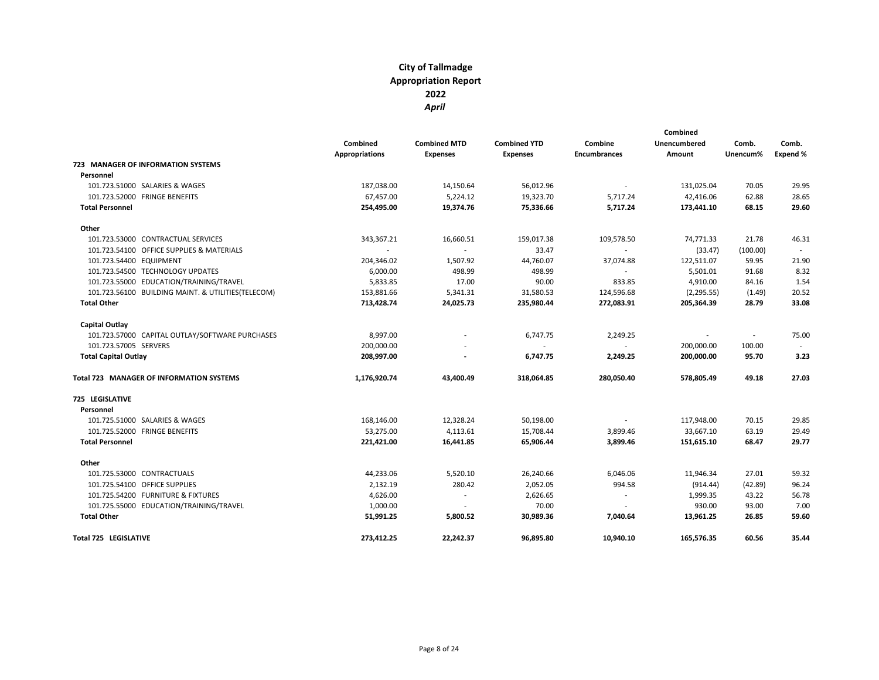|                                                    | Combined<br><b>Appropriations</b> | <b>Combined MTD</b><br><b>Expenses</b> | <b>Combined YTD</b><br><b>Expenses</b> | Combine<br><b>Encumbrances</b> | Combined<br>Unencumbered<br>Amount | Comb.<br>Unencum% | Comb.<br>Expend % |
|----------------------------------------------------|-----------------------------------|----------------------------------------|----------------------------------------|--------------------------------|------------------------------------|-------------------|-------------------|
| 723 MANAGER OF INFORMATION SYSTEMS                 |                                   |                                        |                                        |                                |                                    |                   |                   |
| Personnel                                          |                                   |                                        |                                        |                                |                                    |                   |                   |
| 101.723.51000 SALARIES & WAGES                     | 187,038.00                        | 14,150.64                              | 56,012.96                              | $\sim$                         | 131,025.04                         | 70.05             | 29.95             |
| 101.723.52000 FRINGE BENEFITS                      | 67,457.00                         | 5,224.12                               | 19,323.70                              | 5,717.24                       | 42,416.06                          | 62.88             | 28.65             |
| <b>Total Personnel</b>                             | 254,495.00                        | 19,374.76                              | 75,336.66                              | 5,717.24                       | 173,441.10                         | 68.15             | 29.60             |
| Other                                              |                                   |                                        |                                        |                                |                                    |                   |                   |
| 101.723.53000 CONTRACTUAL SERVICES                 | 343,367.21                        | 16,660.51                              | 159,017.38                             | 109,578.50                     | 74,771.33                          | 21.78             | 46.31             |
| 101.723.54100 OFFICE SUPPLIES & MATERIALS          | $\sim$                            | $\sim$                                 | 33.47                                  | $\sim$                         | (33.47)                            | (100.00)          | $\sim$            |
| 101.723.54400 EQUIPMENT                            | 204,346.02                        | 1,507.92                               | 44,760.07                              | 37,074.88                      | 122,511.07                         | 59.95             | 21.90             |
| 101.723.54500 TECHNOLOGY UPDATES                   | 6,000.00                          | 498.99                                 | 498.99                                 |                                | 5,501.01                           | 91.68             | 8.32              |
| 101.723.55000 EDUCATION/TRAINING/TRAVEL            | 5,833.85                          | 17.00                                  | 90.00                                  | 833.85                         | 4,910.00                           | 84.16             | 1.54              |
| 101.723.56100 BUILDING MAINT. & UTILITIES(TELECOM) | 153,881.66                        | 5,341.31                               | 31,580.53                              | 124,596.68                     | (2, 295.55)                        | (1.49)            | 20.52             |
| <b>Total Other</b>                                 | 713,428.74                        | 24,025.73                              | 235,980.44                             | 272,083.91                     | 205,364.39                         | 28.79             | 33.08             |
| Capital Outlay                                     |                                   |                                        |                                        |                                |                                    |                   |                   |
| 101.723.57000 CAPITAL OUTLAY/SOFTWARE PURCHASES    | 8,997.00                          |                                        | 6,747.75                               | 2,249.25                       | $\sim$                             | $\blacksquare$    | 75.00             |
| 101.723.57005 SERVERS                              | 200,000.00                        |                                        |                                        |                                | 200,000.00                         | 100.00            |                   |
| <b>Total Capital Outlay</b>                        | 208,997.00                        | $\overline{\phantom{a}}$               | 6,747.75                               | 2,249.25                       | 200,000.00                         | 95.70             | 3.23              |
| Total 723 MANAGER OF INFORMATION SYSTEMS           | 1,176,920.74                      | 43,400.49                              | 318,064.85                             | 280,050.40                     | 578,805.49                         | 49.18             | 27.03             |
| 725 LEGISLATIVE                                    |                                   |                                        |                                        |                                |                                    |                   |                   |
| Personnel                                          |                                   |                                        |                                        |                                |                                    |                   |                   |
| 101.725.51000 SALARIES & WAGES                     | 168,146.00                        | 12,328.24                              | 50,198.00                              | $\sim$                         | 117,948.00                         | 70.15             | 29.85             |
| 101.725.52000 FRINGE BENEFITS                      | 53,275.00                         | 4,113.61                               | 15,708.44                              | 3,899.46                       | 33.667.10                          | 63.19             | 29.49             |
| <b>Total Personnel</b>                             | 221,421.00                        | 16,441.85                              | 65,906.44                              | 3,899.46                       | 151,615.10                         | 68.47             | 29.77             |
| Other                                              |                                   |                                        |                                        |                                |                                    |                   |                   |
| 101.725.53000 CONTRACTUALS                         | 44,233.06                         | 5,520.10                               | 26,240.66                              | 6,046.06                       | 11,946.34                          | 27.01             | 59.32             |
| 101.725.54100 OFFICE SUPPLIES                      | 2,132.19                          | 280.42                                 | 2,052.05                               | 994.58                         | (914.44)                           | (42.89)           | 96.24             |
| 101.725.54200 FURNITURE & FIXTURES                 | 4,626.00                          | $\sim$                                 | 2,626.65                               | $\sim$                         | 1,999.35                           | 43.22             | 56.78             |
| 101.725.55000 EDUCATION/TRAINING/TRAVEL            | 1,000.00                          | $\sim$                                 | 70.00                                  | $\sim$                         | 930.00                             | 93.00             | 7.00              |
| <b>Total Other</b>                                 | 51,991.25                         | 5,800.52                               | 30,989.36                              | 7,040.64                       | 13,961.25                          | 26.85             | 59.60             |
| <b>Total 725 LEGISLATIVE</b>                       | 273,412.25                        | 22,242.37                              | 96,895.80                              | 10,940.10                      | 165,576.35                         | 60.56             | 35.44             |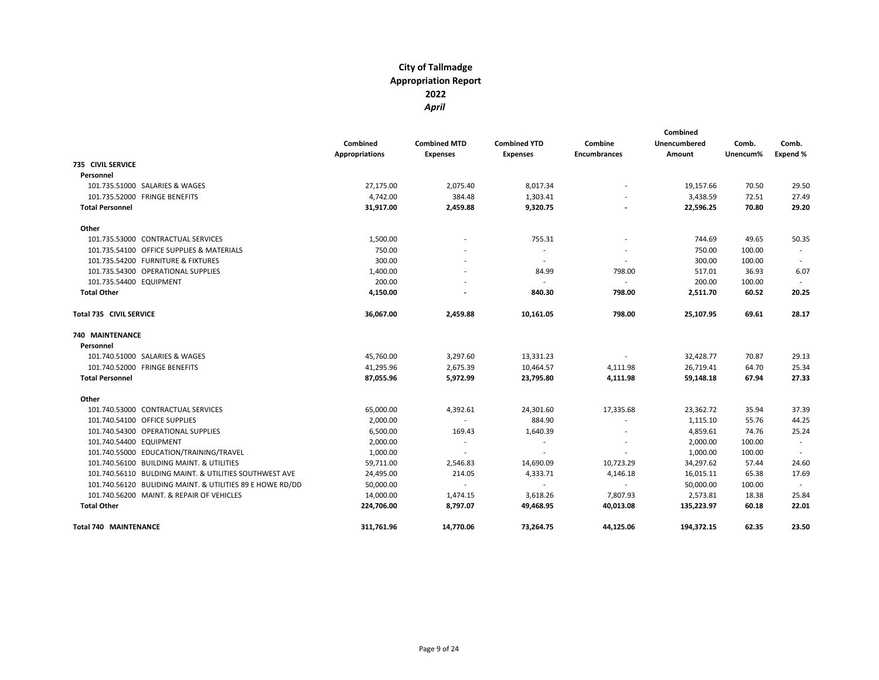|                                                           | Combined<br><b>Appropriations</b> | <b>Combined MTD</b><br><b>Expenses</b> | <b>Combined YTD</b><br><b>Expenses</b> | Combine<br><b>Encumbrances</b> | Combined<br>Unencumbered<br>Amount | Comb.<br>Unencum% | Comb.<br>Expend % |
|-----------------------------------------------------------|-----------------------------------|----------------------------------------|----------------------------------------|--------------------------------|------------------------------------|-------------------|-------------------|
| <b>735 CIVIL SERVICE</b>                                  |                                   |                                        |                                        |                                |                                    |                   |                   |
| Personnel                                                 |                                   |                                        |                                        |                                |                                    |                   |                   |
| 101.735.51000 SALARIES & WAGES                            | 27,175.00                         | 2,075.40                               | 8,017.34                               |                                | 19,157.66                          | 70.50             | 29.50             |
| 101.735.52000 FRINGE BENEFITS                             | 4,742.00                          | 384.48                                 | 1,303.41                               |                                | 3,438.59                           | 72.51             | 27.49             |
| <b>Total Personnel</b>                                    | 31,917.00                         | 2,459.88                               | 9,320.75                               |                                | 22,596.25                          | 70.80             | 29.20             |
| Other                                                     |                                   |                                        |                                        |                                |                                    |                   |                   |
| 101.735.53000 CONTRACTUAL SERVICES                        | 1,500.00                          |                                        | 755.31                                 |                                | 744.69                             | 49.65             | 50.35             |
| 101.735.54100 OFFICE SUPPLIES & MATERIALS                 | 750.00                            |                                        | $\overline{\phantom{a}}$               |                                | 750.00                             | 100.00            |                   |
| 101.735.54200 FURNITURE & FIXTURES                        | 300.00                            |                                        | $\sim$                                 | $\overline{\phantom{a}}$       | 300.00                             | 100.00            |                   |
| 101.735.54300 OPERATIONAL SUPPLIES                        | 1,400.00                          |                                        | 84.99                                  | 798.00                         | 517.01                             | 36.93             | 6.07              |
| 101.735.54400 EQUIPMENT                                   | 200.00                            |                                        | $\sim$                                 | $\sim$                         | 200.00                             | 100.00            |                   |
| <b>Total Other</b>                                        | 4,150.00                          |                                        | 840.30                                 | 798.00                         | 2,511.70                           | 60.52             | 20.25             |
| <b>Total 735 CIVIL SERVICE</b>                            | 36,067.00                         | 2,459.88                               | 10,161.05                              | 798.00                         | 25,107.95                          | 69.61             | 28.17             |
| 740 MAINTENANCE                                           |                                   |                                        |                                        |                                |                                    |                   |                   |
| Personnel                                                 |                                   |                                        |                                        |                                |                                    |                   |                   |
| 101.740.51000 SALARIES & WAGES                            | 45,760.00                         | 3,297.60                               | 13,331.23                              | $\sim$                         | 32,428.77                          | 70.87             | 29.13             |
| 101.740.52000 FRINGE BENEFITS                             | 41,295.96                         | 2,675.39                               | 10,464.57                              | 4,111.98                       | 26,719.41                          | 64.70             | 25.34             |
| <b>Total Personnel</b>                                    | 87,055.96                         | 5,972.99                               | 23,795.80                              | 4,111.98                       | 59,148.18                          | 67.94             | 27.33             |
| Other                                                     |                                   |                                        |                                        |                                |                                    |                   |                   |
| 101.740.53000 CONTRACTUAL SERVICES                        | 65,000.00                         | 4,392.61                               | 24,301.60                              | 17,335.68                      | 23,362.72                          | 35.94             | 37.39             |
| 101.740.54100 OFFICE SUPPLIES                             | 2,000.00                          | $\sim$                                 | 884.90                                 | $\overline{\phantom{a}}$       | 1,115.10                           | 55.76             | 44.25             |
| 101.740.54300 OPERATIONAL SUPPLIES                        | 6,500.00                          | 169.43                                 | 1,640.39                               |                                | 4,859.61                           | 74.76             | 25.24             |
| 101.740.54400 EQUIPMENT                                   | 2,000.00                          | $\sim$                                 | $\sim$                                 |                                | 2,000.00                           | 100.00            | $\sim$            |
| 101.740.55000 EDUCATION/TRAINING/TRAVEL                   | 1,000.00                          |                                        |                                        |                                | 1,000.00                           | 100.00            |                   |
| 101.740.56100 BUILDING MAINT. & UTILITIES                 | 59,711.00                         | 2,546.83                               | 14,690.09                              | 10,723.29                      | 34,297.62                          | 57.44             | 24.60             |
| 101.740.56110 BULDING MAINT. & UTILITIES SOUTHWEST AVE    | 24,495.00                         | 214.05                                 | 4,333.71                               | 4,146.18                       | 16,015.11                          | 65.38             | 17.69             |
| 101.740.56120 BULIDING MAINT. & UTILITIES 89 E HOWE RD/DD | 50,000.00                         | $\sim$                                 | $\sim$                                 | $\sim$                         | 50,000.00                          | 100.00            | $\sim$            |
| 101.740.56200 MAINT. & REPAIR OF VEHICLES                 | 14,000.00                         | 1,474.15                               | 3,618.26                               | 7,807.93                       | 2,573.81                           | 18.38             | 25.84             |
| <b>Total Other</b>                                        | 224,706.00                        | 8,797.07                               | 49,468.95                              | 40,013.08                      | 135,223.97                         | 60.18             | 22.01             |
| <b>Total 740 MAINTENANCE</b>                              | 311.761.96                        | 14.770.06                              | 73.264.75                              | 44.125.06                      | 194.372.15                         | 62.35             | 23.50             |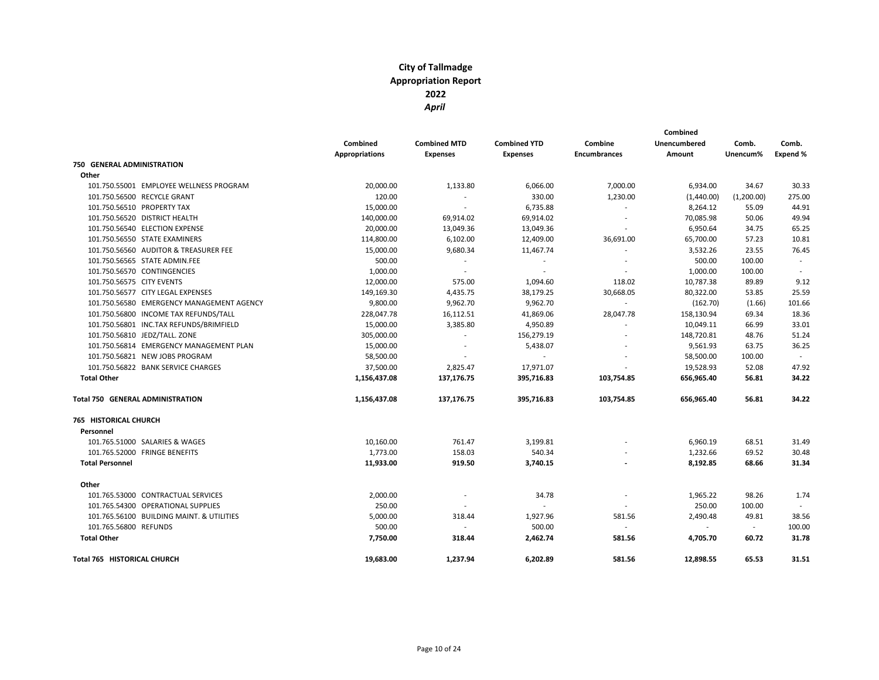|                                           |                       |                          |                     | Combined                 |                     |            |          |
|-------------------------------------------|-----------------------|--------------------------|---------------------|--------------------------|---------------------|------------|----------|
|                                           | Combined              | <b>Combined MTD</b>      | <b>Combined YTD</b> | Combine                  | <b>Unencumbered</b> | Comb.      | Comb.    |
|                                           | <b>Appropriations</b> | <b>Expenses</b>          | <b>Expenses</b>     | <b>Encumbrances</b>      | Amount              | Unencum%   | Expend % |
| <b>750 GENERAL ADMINISTRATION</b>         |                       |                          |                     |                          |                     |            |          |
| Other                                     |                       |                          |                     |                          |                     |            |          |
| 101.750.55001 EMPLOYEE WELLNESS PROGRAM   | 20,000.00             | 1,133.80                 | 6,066.00            | 7,000.00                 | 6,934.00            | 34.67      | 30.33    |
| 101.750.56500 RECYCLE GRANT               | 120.00                | $\overline{\phantom{a}}$ | 330.00              | 1,230.00                 | (1,440.00)          | (1,200.00) | 275.00   |
| 101.750.56510 PROPERTY TAX                | 15,000.00             | $\sim$                   | 6,735.88            |                          | 8,264.12            | 55.09      | 44.91    |
| 101.750.56520 DISTRICT HEALTH             | 140,000.00            | 69,914.02                | 69,914.02           | $\overline{\phantom{a}}$ | 70,085.98           | 50.06      | 49.94    |
| 101.750.56540 ELECTION EXPENSE            | 20,000.00             | 13,049.36                | 13,049.36           |                          | 6,950.64            | 34.75      | 65.25    |
| 101.750.56550 STATE EXAMINERS             | 114,800.00            | 6,102.00                 | 12,409.00           | 36,691.00                | 65,700.00           | 57.23      | 10.81    |
| 101.750.56560 AUDITOR & TREASURER FEE     | 15,000.00             | 9,680.34                 | 11,467.74           |                          | 3,532.26            | 23.55      | 76.45    |
| 101.750.56565 STATE ADMIN.FEE             | 500.00                | $\sim$                   | $\sim$              |                          | 500.00              | 100.00     |          |
| 101.750.56570 CONTINGENCIES               | 1,000.00              |                          | $\sim$              |                          | 1,000.00            | 100.00     |          |
| 101.750.56575 CITY EVENTS                 | 12,000.00             | 575.00                   | 1,094.60            | 118.02                   | 10,787.38           | 89.89      | 9.12     |
| 101.750.56577 CITY LEGAL EXPENSES         | 149,169.30            | 4,435.75                 | 38,179.25           | 30,668.05                | 80,322.00           | 53.85      | 25.59    |
| 101.750.56580 EMERGENCY MANAGEMENT AGENCY | 9,800.00              | 9,962.70                 | 9,962.70            | $\sim$                   | (162.70)            | (1.66)     | 101.66   |
| 101.750.56800 INCOME TAX REFUNDS/TALL     | 228,047.78            | 16,112.51                | 41,869.06           | 28,047.78                | 158,130.94          | 69.34      | 18.36    |
| 101.750.56801 INC.TAX REFUNDS/BRIMFIELD   | 15,000.00             | 3,385.80                 | 4,950.89            | $\sim$                   | 10,049.11           | 66.99      | 33.01    |
| 101.750.56810 JEDZ/TALL. ZONE             | 305,000.00            | $\sim$                   | 156,279.19          |                          | 148,720.81          | 48.76      | 51.24    |
| 101.750.56814 EMERGENCY MANAGEMENT PLAN   | 15,000.00             | $\sim$                   | 5,438.07            |                          | 9,561.93            | 63.75      | 36.25    |
| 101.750.56821 NEW JOBS PROGRAM            | 58,500.00             |                          |                     |                          | 58,500.00           | 100.00     |          |
| 101.750.56822 BANK SERVICE CHARGES        | 37,500.00             | 2,825.47                 | 17,971.07           |                          | 19,528.93           | 52.08      | 47.92    |
| <b>Total Other</b>                        | 1,156,437.08          | 137,176.75               | 395,716.83          | 103,754.85               | 656,965.40          | 56.81      | 34.22    |
| Total 750 GENERAL ADMINISTRATION          | 1,156,437.08          | 137,176.75               | 395,716.83          | 103,754.85               | 656,965.40          | 56.81      | 34.22    |
| <b>765 HISTORICAL CHURCH</b>              |                       |                          |                     |                          |                     |            |          |
| Personnel                                 |                       |                          |                     |                          |                     |            |          |
| 101.765.51000 SALARIES & WAGES            | 10,160.00             | 761.47                   | 3,199.81            |                          | 6,960.19            | 68.51      | 31.49    |
| 101.765.52000 FRINGE BENEFITS             | 1,773.00              | 158.03                   | 540.34              |                          | 1,232.66            | 69.52      | 30.48    |
| <b>Total Personnel</b>                    | 11,933.00             | 919.50                   | 3,740.15            |                          | 8,192.85            | 68.66      | 31.34    |
| Other                                     |                       |                          |                     |                          |                     |            |          |
| 101.765.53000 CONTRACTUAL SERVICES        | 2,000.00              |                          | 34.78               |                          | 1,965.22            | 98.26      | 1.74     |
| 101.765.54300 OPERATIONAL SUPPLIES        | 250.00                |                          | ÷.                  |                          | 250.00              | 100.00     | $\sim$   |
| 101.765.56100 BUILDING MAINT. & UTILITIES | 5,000.00              | 318.44                   | 1,927.96            | 581.56                   | 2,490.48            | 49.81      | 38.56    |
| 101.765.56800 REFUNDS                     | 500.00                |                          | 500.00              | $\sim$                   | $\sim$              | $\sim$     | 100.00   |
| <b>Total Other</b>                        | 7,750.00              | 318.44                   | 2,462.74            | 581.56                   | 4,705.70            | 60.72      | 31.78    |
| Total 765 HISTORICAL CHURCH               | 19,683.00             | 1,237.94                 | 6,202.89            | 581.56                   | 12,898.55           | 65.53      | 31.51    |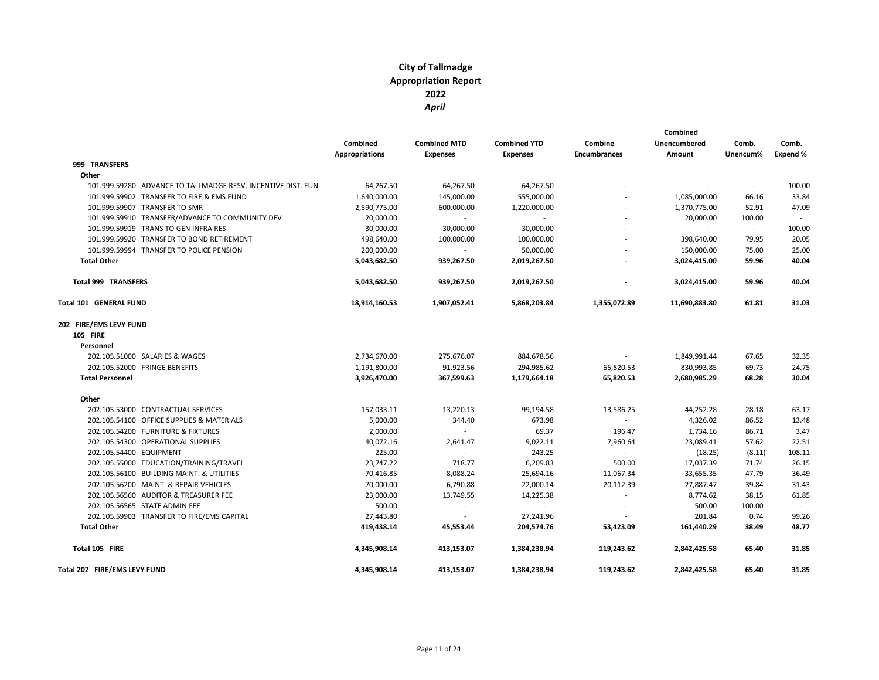|                                                              |                       |                     |                     |                     | Combined            |          |          |
|--------------------------------------------------------------|-----------------------|---------------------|---------------------|---------------------|---------------------|----------|----------|
|                                                              | Combined              | <b>Combined MTD</b> | <b>Combined YTD</b> | Combine             | <b>Unencumbered</b> | Comb.    | Comb.    |
|                                                              | <b>Appropriations</b> | <b>Expenses</b>     | <b>Expenses</b>     | <b>Encumbrances</b> | Amount              | Unencum% | Expend % |
| 999 TRANSFERS                                                |                       |                     |                     |                     |                     |          |          |
| Other                                                        |                       |                     |                     |                     |                     |          |          |
| 101.999.59280 ADVANCE TO TALLMADGE RESV. INCENTIVE DIST. FUN | 64,267.50             | 64,267.50           | 64,267.50           |                     |                     |          | 100.00   |
| 101.999.59902 TRANSFER TO FIRE & EMS FUND                    | 1,640,000.00          | 145,000.00          | 555,000.00          |                     | 1,085,000.00        | 66.16    | 33.84    |
| 101.999.59907 TRANSFER TO SMR                                | 2,590,775.00          | 600,000.00          | 1,220,000.00        |                     | 1,370,775.00        | 52.91    | 47.09    |
| 101.999.59910 TRANSFER/ADVANCE TO COMMUNITY DEV              | 20,000.00             | $\sim$              |                     |                     | 20,000.00           | 100.00   |          |
| 101.999.59919 TRANS TO GEN INFRA RES                         | 30,000.00             | 30,000.00           | 30,000.00           |                     | $\sim$              | $\sim$   | 100.00   |
| 101.999.59920 TRANSFER TO BOND RETIREMENT                    | 498,640.00            | 100,000.00          | 100,000.00          |                     | 398,640.00          | 79.95    | 20.05    |
| 101.999.59994 TRANSFER TO POLICE PENSION                     | 200,000.00            | $\sim$              | 50.000.00           |                     | 150,000.00          | 75.00    | 25.00    |
| <b>Total Other</b>                                           | 5,043,682.50          | 939,267.50          | 2,019,267.50        |                     | 3,024,415.00        | 59.96    | 40.04    |
| <b>Total 999 TRANSFERS</b>                                   | 5,043,682.50          | 939,267.50          | 2,019,267.50        |                     | 3,024,415.00        | 59.96    | 40.04    |
| Total 101 GENERAL FUND                                       | 18,914,160.53         | 1,907,052.41        | 5,868,203.84        | 1,355,072.89        | 11,690,883.80       | 61.81    | 31.03    |
| 202 FIRE/EMS LEVY FUND                                       |                       |                     |                     |                     |                     |          |          |
| <b>105 FIRE</b>                                              |                       |                     |                     |                     |                     |          |          |
| Personnel                                                    |                       |                     |                     |                     |                     |          |          |
| 202.105.51000 SALARIES & WAGES                               | 2,734,670.00          | 275,676.07          | 884,678.56          | $\sim$              | 1,849,991.44        | 67.65    | 32.35    |
| 202.105.52000 FRINGE BENEFITS                                | 1,191,800.00          | 91,923.56           | 294,985.62          | 65,820.53           | 830,993.85          | 69.73    | 24.75    |
| <b>Total Personnel</b>                                       | 3,926,470.00          | 367,599.63          | 1,179,664.18        | 65,820.53           | 2,680,985.29        | 68.28    | 30.04    |
| Other                                                        |                       |                     |                     |                     |                     |          |          |
| 202.105.53000 CONTRACTUAL SERVICES                           | 157,033.11            | 13,220.13           | 99,194.58           | 13,586.25           | 44,252.28           | 28.18    | 63.17    |
| 202.105.54100 OFFICE SUPPLIES & MATERIALS                    | 5,000.00              | 344.40              | 673.98              | $\sim$              | 4,326.02            | 86.52    | 13.48    |
| 202.105.54200 FURNITURE & FIXTURES                           | 2,000.00              | $\sim$              | 69.37               | 196.47              | 1,734.16            | 86.71    | 3.47     |
| 202.105.54300 OPERATIONAL SUPPLIES                           | 40,072.16             | 2,641.47            | 9,022.11            | 7,960.64            | 23,089.41           | 57.62    | 22.51    |
| 202.105.54400 EQUIPMENT                                      | 225.00                | $\sim$              | 243.25              | $\sim$              | (18.25)             | (8.11)   | 108.11   |
| 202.105.55000 EDUCATION/TRAINING/TRAVEL                      | 23,747.22             | 718.77              | 6,209.83            | 500.00              | 17,037.39           | 71.74    | 26.15    |
| 202.105.56100 BUILDING MAINT. & UTILITIES                    | 70,416.85             | 8,088.24            | 25,694.16           | 11,067.34           | 33,655.35           | 47.79    | 36.49    |
| 202.105.56200 MAINT. & REPAIR VEHICLES                       | 70,000.00             | 6,790.88            | 22,000.14           | 20,112.39           | 27,887.47           | 39.84    | 31.43    |
| 202.105.56560 AUDITOR & TREASURER FEE                        | 23,000.00             | 13,749.55           | 14,225.38           | $\sim$              | 8,774.62            | 38.15    | 61.85    |
| 202.105.56565 STATE ADMIN.FEE                                | 500.00                | $\sim$              |                     |                     | 500.00              | 100.00   |          |
| 202.105.59903 TRANSFER TO FIRE/EMS CAPITAL                   | 27,443.80             | $\sim$              | 27,241.96           |                     | 201.84              | 0.74     | 99.26    |
| <b>Total Other</b>                                           | 419,438.14            | 45,553.44           | 204,574.76          | 53,423.09           | 161,440.29          | 38.49    | 48.77    |
| Total 105 FIRE                                               | 4,345,908.14          | 413,153.07          | 1,384,238.94        | 119,243.62          | 2,842,425.58        | 65.40    | 31.85    |
| Total 202 FIRE/EMS LEVY FUND                                 | 4,345,908.14          | 413,153.07          | 1,384,238.94        | 119,243.62          | 2,842,425.58        | 65.40    | 31.85    |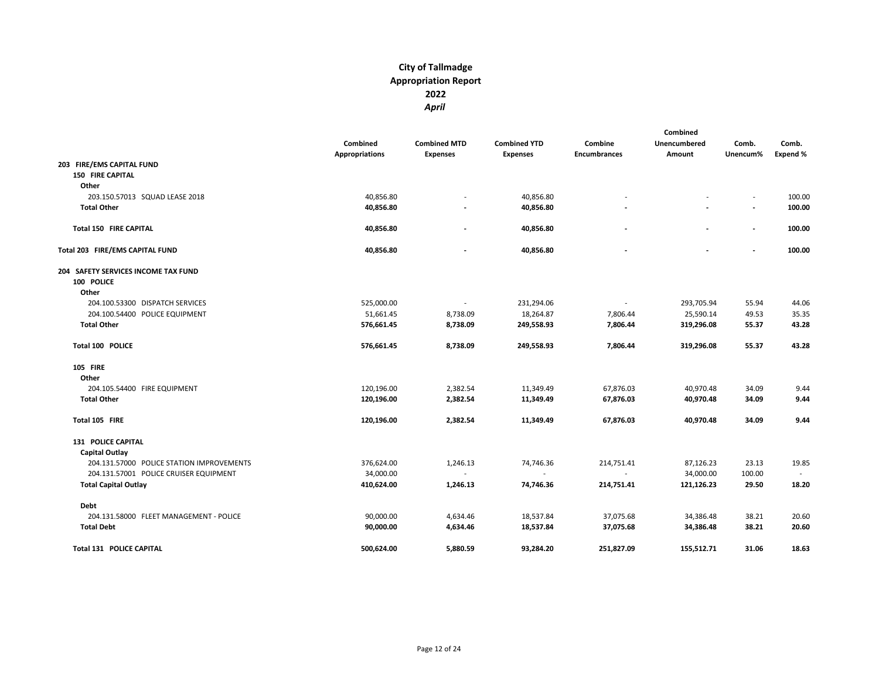|                                           |                                   |                                        |                                        |                                | Combined               |                          |                   |
|-------------------------------------------|-----------------------------------|----------------------------------------|----------------------------------------|--------------------------------|------------------------|--------------------------|-------------------|
|                                           | Combined<br><b>Appropriations</b> | <b>Combined MTD</b><br><b>Expenses</b> | <b>Combined YTD</b><br><b>Expenses</b> | Combine<br><b>Encumbrances</b> | Unencumbered<br>Amount | Comb.<br>Unencum%        | Comb.<br>Expend % |
| 203 FIRE/EMS CAPITAL FUND                 |                                   |                                        |                                        |                                |                        |                          |                   |
| <b>150 FIRE CAPITAL</b>                   |                                   |                                        |                                        |                                |                        |                          |                   |
| Other                                     |                                   |                                        |                                        |                                |                        |                          |                   |
| 203.150.57013 SQUAD LEASE 2018            | 40,856.80                         |                                        | 40,856.80                              |                                |                        |                          | 100.00            |
| <b>Total Other</b>                        | 40,856.80                         |                                        | 40,856.80                              |                                |                        | $\blacksquare$           | 100.00            |
| <b>Total 150 FIRE CAPITAL</b>             | 40,856.80                         | $\overline{\phantom{a}}$               | 40,856.80                              |                                | $\blacksquare$         | $\blacksquare$           | 100.00            |
| Total 203 FIRE/EMS CAPITAL FUND           | 40,856.80                         |                                        | 40,856.80                              |                                |                        | $\overline{\phantom{a}}$ | 100.00            |
| 204 SAFETY SERVICES INCOME TAX FUND       |                                   |                                        |                                        |                                |                        |                          |                   |
| 100 POLICE                                |                                   |                                        |                                        |                                |                        |                          |                   |
| Other                                     |                                   |                                        |                                        |                                |                        |                          |                   |
| 204.100.53300 DISPATCH SERVICES           | 525,000.00                        | $\overline{\phantom{a}}$               | 231,294.06                             | $\blacksquare$                 | 293,705.94             | 55.94                    | 44.06             |
| 204.100.54400 POLICE EQUIPMENT            | 51,661.45                         | 8,738.09                               | 18,264.87                              | 7,806.44                       | 25,590.14              | 49.53                    | 35.35             |
| <b>Total Other</b>                        | 576,661.45                        | 8,738.09                               | 249,558.93                             | 7,806.44                       | 319,296.08             | 55.37                    | 43.28             |
| Total 100 POLICE                          | 576,661.45                        | 8,738.09                               | 249,558.93                             | 7,806.44                       | 319,296.08             | 55.37                    | 43.28             |
| <b>105 FIRE</b>                           |                                   |                                        |                                        |                                |                        |                          |                   |
| Other                                     |                                   |                                        |                                        |                                |                        |                          |                   |
| 204.105.54400 FIRE EQUIPMENT              | 120,196.00                        | 2,382.54                               | 11,349.49                              | 67,876.03                      | 40,970.48              | 34.09                    | 9.44              |
| <b>Total Other</b>                        | 120,196.00                        | 2,382.54                               | 11,349.49                              | 67,876.03                      | 40,970.48              | 34.09                    | 9.44              |
| Total 105 FIRE                            | 120,196.00                        | 2,382.54                               | 11,349.49                              | 67,876.03                      | 40,970.48              | 34.09                    | 9.44              |
| 131 POLICE CAPITAL                        |                                   |                                        |                                        |                                |                        |                          |                   |
| Capital Outlay                            |                                   |                                        |                                        |                                |                        |                          |                   |
| 204.131.57000 POLICE STATION IMPROVEMENTS | 376,624.00                        | 1,246.13                               | 74,746.36                              | 214,751.41                     | 87,126.23              | 23.13                    | 19.85             |
| 204.131.57001 POLICE CRUISER EQUIPMENT    | 34,000.00                         | $\sim$                                 | $\sim$                                 | $\sim$                         | 34,000.00              | 100.00                   | $\sim$            |
| <b>Total Capital Outlay</b>               | 410,624.00                        | 1,246.13                               | 74,746.36                              | 214,751.41                     | 121,126.23             | 29.50                    | 18.20             |
| Debt                                      |                                   |                                        |                                        |                                |                        |                          |                   |
| 204.131.58000 FLEET MANAGEMENT - POLICE   | 90,000.00                         | 4,634.46                               | 18,537.84                              | 37,075.68                      | 34,386.48              | 38.21                    | 20.60             |
| <b>Total Debt</b>                         | 90,000.00                         | 4,634.46                               | 18,537.84                              | 37,075.68                      | 34,386.48              | 38.21                    | 20.60             |
| <b>Total 131 POLICE CAPITAL</b>           | 500,624.00                        | 5,880.59                               | 93,284.20                              | 251,827.09                     | 155,512.71             | 31.06                    | 18.63             |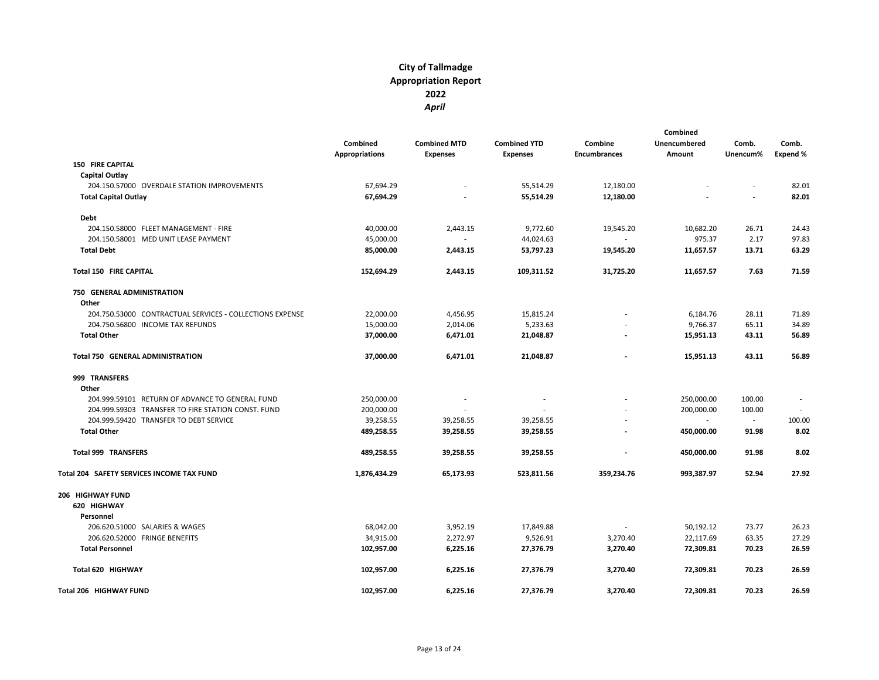|                                                          |                       |                     |                          |                          | Combined     |                |                          |
|----------------------------------------------------------|-----------------------|---------------------|--------------------------|--------------------------|--------------|----------------|--------------------------|
|                                                          | Combined              | <b>Combined MTD</b> | <b>Combined YTD</b>      | Combine                  | Unencumbered | Comb.          | Comb.                    |
|                                                          | <b>Appropriations</b> | <b>Expenses</b>     | <b>Expenses</b>          | <b>Encumbrances</b>      | Amount       | Unencum%       | Expend %                 |
| <b>150 FIRE CAPITAL</b>                                  |                       |                     |                          |                          |              |                |                          |
| <b>Capital Outlay</b>                                    |                       |                     |                          |                          |              |                |                          |
| 204.150.57000 OVERDALE STATION IMPROVEMENTS              | 67,694.29             |                     | 55,514.29                | 12,180.00                |              |                | 82.01                    |
| <b>Total Capital Outlay</b>                              | 67,694.29             |                     | 55,514.29                | 12,180.00                |              | $\blacksquare$ | 82.01                    |
| Debt                                                     |                       |                     |                          |                          |              |                |                          |
| 204.150.58000 FLEET MANAGEMENT - FIRE                    | 40,000.00             | 2,443.15            | 9,772.60                 | 19,545.20                | 10,682.20    | 26.71          | 24.43                    |
| 204.150.58001 MED UNIT LEASE PAYMENT                     | 45,000.00             | $\sim$              | 44,024.63                | $\sim$                   | 975.37       | 2.17           | 97.83                    |
| <b>Total Debt</b>                                        | 85,000.00             | 2,443.15            | 53,797.23                | 19,545.20                | 11,657.57    | 13.71          | 63.29                    |
| <b>Total 150 FIRE CAPITAL</b>                            | 152,694.29            | 2,443.15            | 109,311.52               | 31,725.20                | 11,657.57    | 7.63           | 71.59                    |
| 750 GENERAL ADMINISTRATION                               |                       |                     |                          |                          |              |                |                          |
| Other                                                    |                       |                     |                          |                          |              |                |                          |
| 204.750.53000 CONTRACTUAL SERVICES - COLLECTIONS EXPENSE | 22,000.00             | 4,456.95            | 15,815.24                |                          | 6,184.76     | 28.11          | 71.89                    |
| 204.750.56800 INCOME TAX REFUNDS                         | 15,000.00             | 2,014.06            | 5,233.63                 |                          | 9,766.37     | 65.11          | 34.89                    |
| <b>Total Other</b>                                       | 37,000.00             | 6,471.01            | 21,048.87                |                          | 15,951.13    | 43.11          | 56.89                    |
| Total 750 GENERAL ADMINISTRATION                         | 37,000.00             | 6,471.01            | 21,048.87                | $\overline{\phantom{a}}$ | 15,951.13    | 43.11          | 56.89                    |
| 999 TRANSFERS                                            |                       |                     |                          |                          |              |                |                          |
| Other                                                    |                       |                     |                          |                          |              |                |                          |
| 204.999.59101 RETURN OF ADVANCE TO GENERAL FUND          | 250,000.00            | $\sim$              | $\overline{\phantom{a}}$ |                          | 250,000.00   | 100.00         | $\overline{\phantom{a}}$ |
| 204.999.59303 TRANSFER TO FIRE STATION CONST. FUND       | 200,000.00            |                     |                          |                          | 200,000.00   | 100.00         |                          |
| 204.999.59420 TRANSFER TO DEBT SERVICE                   | 39,258.55             | 39,258.55           | 39,258.55                |                          | $\sim$       | $\sim$         | 100.00                   |
| <b>Total Other</b>                                       | 489,258.55            | 39,258.55           | 39,258.55                |                          | 450,000.00   | 91.98          | 8.02                     |
| <b>Total 999 TRANSFERS</b>                               | 489,258.55            | 39,258.55           | 39,258.55                | $\ddot{\phantom{a}}$     | 450,000.00   | 91.98          | 8.02                     |
| Total 204 SAFETY SERVICES INCOME TAX FUND                | 1,876,434.29          | 65,173.93           | 523,811.56               | 359,234.76               | 993,387.97   | 52.94          | 27.92                    |
| 206 HIGHWAY FUND                                         |                       |                     |                          |                          |              |                |                          |
| 620 HIGHWAY                                              |                       |                     |                          |                          |              |                |                          |
| Personnel                                                |                       |                     |                          |                          |              |                |                          |
| 206.620.51000 SALARIES & WAGES                           | 68,042.00             | 3,952.19            | 17,849.88                | ٠                        | 50,192.12    | 73.77          | 26.23                    |
| 206.620.52000 FRINGE BENEFITS                            | 34,915.00             | 2,272.97            | 9,526.91                 | 3,270.40                 | 22,117.69    | 63.35          | 27.29                    |
| <b>Total Personnel</b>                                   | 102,957.00            | 6,225.16            | 27,376.79                | 3,270.40                 | 72,309.81    | 70.23          | 26.59                    |
| Total 620 HIGHWAY                                        | 102,957.00            | 6,225.16            | 27,376.79                | 3,270.40                 | 72,309.81    | 70.23          | 26.59                    |
| Total 206 HIGHWAY FUND                                   | 102,957.00            | 6,225.16            | 27,376.79                | 3,270.40                 | 72,309.81    | 70.23          | 26.59                    |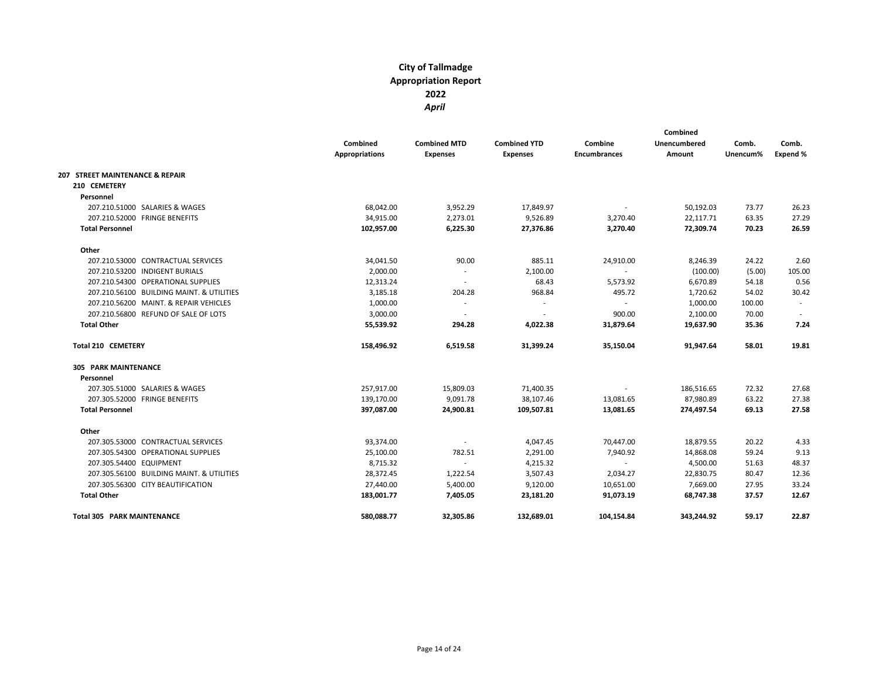|                                           | <b>Combined</b><br><b>Appropriations</b> | <b>Combined MTD</b><br><b>Expenses</b> | <b>Combined YTD</b><br><b>Expenses</b> | Combine<br><b>Encumbrances</b> | Combined<br><b>Unencumbered</b><br>Amount | Comb.<br>Unencum% | Comb.<br>Expend % |
|-------------------------------------------|------------------------------------------|----------------------------------------|----------------------------------------|--------------------------------|-------------------------------------------|-------------------|-------------------|
| 207 STREET MAINTENANCE & REPAIR           |                                          |                                        |                                        |                                |                                           |                   |                   |
| 210 CEMETERY                              |                                          |                                        |                                        |                                |                                           |                   |                   |
| Personnel                                 |                                          |                                        |                                        |                                |                                           |                   |                   |
| 207.210.51000 SALARIES & WAGES            | 68,042.00                                | 3,952.29                               | 17,849.97                              | $\overline{\phantom{a}}$       | 50,192.03                                 | 73.77             | 26.23             |
| 207.210.52000 FRINGE BENEFITS             | 34,915.00                                | 2,273.01                               | 9,526.89                               | 3,270.40                       | 22,117.71                                 | 63.35             | 27.29             |
| <b>Total Personnel</b>                    | 102,957.00                               | 6,225.30                               | 27,376.86                              | 3,270.40                       | 72,309.74                                 | 70.23             | 26.59             |
| Other                                     |                                          |                                        |                                        |                                |                                           |                   |                   |
| 207.210.53000 CONTRACTUAL SERVICES        | 34,041.50                                | 90.00                                  | 885.11                                 | 24,910.00                      | 8,246.39                                  | 24.22             | 2.60              |
| 207.210.53200 INDIGENT BURIALS            | 2,000.00                                 |                                        | 2,100.00                               | $\overline{\phantom{a}}$       | (100.00)                                  | (5.00)            | 105.00            |
| 207.210.54300 OPERATIONAL SUPPLIES        | 12,313.24                                | $\overline{\phantom{a}}$               | 68.43                                  | 5,573.92                       | 6,670.89                                  | 54.18             | 0.56              |
| 207.210.56100 BUILDING MAINT. & UTILITIES | 3,185.18                                 | 204.28                                 | 968.84                                 | 495.72                         | 1,720.62                                  | 54.02             | 30.42             |
| 207.210.56200 MAINT, & REPAIR VEHICLES    | 1,000.00                                 | $\sim$                                 |                                        | $\sim$                         | 1,000.00                                  | 100.00            |                   |
| 207.210.56800 REFUND OF SALE OF LOTS      | 3,000.00                                 | $\sim$                                 |                                        | 900.00                         | 2,100.00                                  | 70.00             | $\sim$            |
| <b>Total Other</b>                        | 55,539.92                                | 294.28                                 | 4,022.38                               | 31,879.64                      | 19,637.90                                 | 35.36             | 7.24              |
| <b>Total 210 CEMETERY</b>                 | 158,496.92                               | 6,519.58                               | 31,399.24                              | 35,150.04                      | 91,947.64                                 | 58.01             | 19.81             |
| 305 PARK MAINTENANCE                      |                                          |                                        |                                        |                                |                                           |                   |                   |
| Personnel                                 |                                          |                                        |                                        |                                |                                           |                   |                   |
| 207.305.51000 SALARIES & WAGES            | 257,917.00                               | 15,809.03                              | 71,400.35                              | $\overline{\phantom{a}}$       | 186,516.65                                | 72.32             | 27.68             |
| 207.305.52000 FRINGE BENEFITS             | 139,170.00                               | 9,091.78                               | 38,107.46                              | 13,081.65                      | 87,980.89                                 | 63.22             | 27.38             |
| <b>Total Personnel</b>                    | 397,087.00                               | 24,900.81                              | 109,507.81                             | 13,081.65                      | 274,497.54                                | 69.13             | 27.58             |
| Other                                     |                                          |                                        |                                        |                                |                                           |                   |                   |
| 207.305.53000 CONTRACTUAL SERVICES        | 93,374.00                                |                                        | 4,047.45                               | 70,447.00                      | 18,879.55                                 | 20.22             | 4.33              |
| 207.305.54300 OPERATIONAL SUPPLIES        | 25,100.00                                | 782.51                                 | 2,291.00                               | 7,940.92                       | 14,868.08                                 | 59.24             | 9.13              |
| 207.305.54400 EQUIPMENT                   | 8,715.32                                 | $\sim$                                 | 4,215.32                               | ٠                              | 4,500.00                                  | 51.63             | 48.37             |
| 207.305.56100 BUILDING MAINT. & UTILITIES | 28,372.45                                | 1,222.54                               | 3,507.43                               | 2,034.27                       | 22,830.75                                 | 80.47             | 12.36             |
| 207.305.56300 CITY BEAUTIFICATION         | 27,440.00                                | 5,400.00                               | 9,120.00                               | 10,651.00                      | 7,669.00                                  | 27.95             | 33.24             |
| <b>Total Other</b>                        | 183,001.77                               | 7,405.05                               | 23,181.20                              | 91,073.19                      | 68,747.38                                 | 37.57             | 12.67             |
| <b>Total 305 PARK MAINTENANCE</b>         | 580,088.77                               | 32,305.86                              | 132,689.01                             | 104,154.84                     | 343,244.92                                | 59.17             | 22.87             |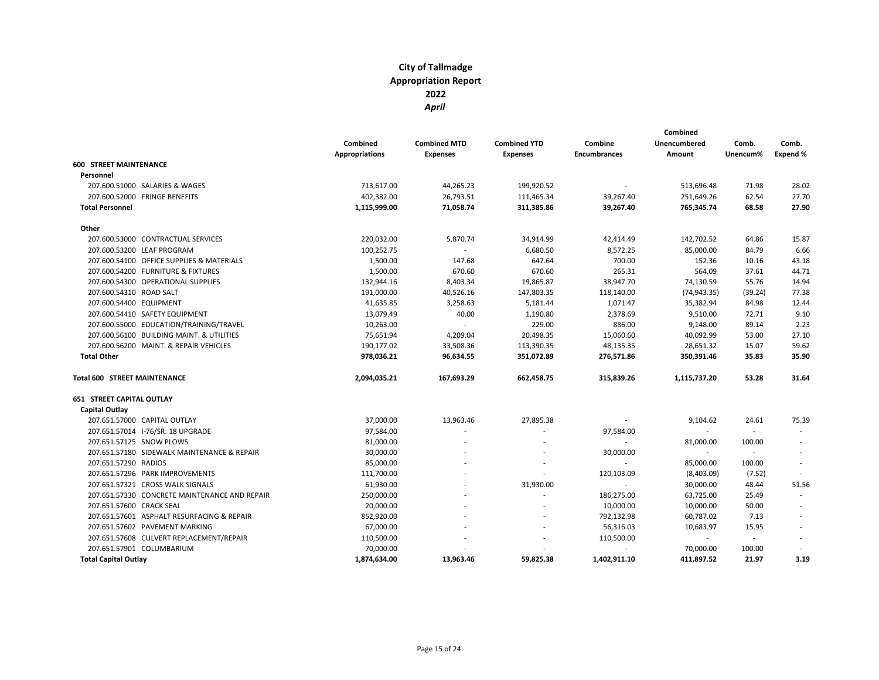|                                               |                       |                     |                          |                          | Combined                 |          |          |
|-----------------------------------------------|-----------------------|---------------------|--------------------------|--------------------------|--------------------------|----------|----------|
|                                               | Combined              | <b>Combined MTD</b> | <b>Combined YTD</b>      | Combine                  | <b>Unencumbered</b>      | Comb.    | Comb.    |
|                                               | <b>Appropriations</b> | <b>Expenses</b>     | <b>Expenses</b>          | <b>Encumbrances</b>      | Amount                   | Unencum% | Expend % |
| <b>600 STREET MAINTENANCE</b>                 |                       |                     |                          |                          |                          |          |          |
| Personnel                                     |                       |                     |                          |                          |                          |          |          |
| 207.600.51000 SALARIES & WAGES                | 713,617.00            | 44,265.23           | 199,920.52               |                          | 513,696.48               | 71.98    | 28.02    |
| 207.600.52000 FRINGE BENEFITS                 | 402,382.00            | 26,793.51           | 111,465.34               | 39,267.40                | 251,649.26               | 62.54    | 27.70    |
| <b>Total Personnel</b>                        | 1,115,999.00          | 71,058.74           | 311,385.86               | 39,267.40                | 765,345.74               | 68.58    | 27.90    |
| Other                                         |                       |                     |                          |                          |                          |          |          |
| 207.600.53000 CONTRACTUAL SERVICES            | 220,032.00            | 5,870.74            | 34,914.99                | 42,414.49                | 142,702.52               | 64.86    | 15.87    |
| 207.600.53200 LEAF PROGRAM                    | 100,252.75            |                     | 6,680.50                 | 8,572.25                 | 85,000.00                | 84.79    | 6.66     |
| 207.600.54100 OFFICE SUPPLIES & MATERIALS     | 1,500.00              | 147.68              | 647.64                   | 700.00                   | 152.36                   | 10.16    | 43.18    |
| 207.600.54200 FURNITURE & FIXTURES            | 1,500.00              | 670.60              | 670.60                   | 265.31                   | 564.09                   | 37.61    | 44.71    |
| 207.600.54300 OPERATIONAL SUPPLIES            | 132,944.16            | 8,403.34            | 19,865.87                | 38,947.70                | 74,130.59                | 55.76    | 14.94    |
| 207.600.54310 ROAD SALT                       | 191,000.00            | 40,526.16           | 147,803.35               | 118,140.00               | (74, 943.35)             | (39.24)  | 77.38    |
| 207.600.54400 EQUIPMENT                       | 41,635.85             | 3,258.63            | 5,181.44                 | 1,071.47                 | 35,382.94                | 84.98    | 12.44    |
| 207.600.54410 SAFETY EQUIPMENT                | 13,079.49             | 40.00               | 1,190.80                 | 2,378.69                 | 9,510.00                 | 72.71    | 9.10     |
| 207.600.55000 EDUCATION/TRAINING/TRAVEL       | 10,263.00             | $\sim$              | 229.00                   | 886.00                   | 9,148.00                 | 89.14    | 2.23     |
| 207.600.56100 BUILDING MAINT. & UTILITIES     | 75,651.94             | 4,209.04            | 20,498.35                | 15,060.60                | 40,092.99                | 53.00    | 27.10    |
| 207.600.56200 MAINT. & REPAIR VEHICLES        | 190,177.02            | 33,508.36           | 113,390.35               | 48,135.35                | 28,651.32                | 15.07    | 59.62    |
| <b>Total Other</b>                            | 978,036.21            | 96,634.55           | 351,072.89               | 276,571.86               | 350,391.46               | 35.83    | 35.90    |
| <b>Total 600 STREET MAINTENANCE</b>           | 2,094,035.21          | 167,693.29          | 662,458.75               | 315,839.26               | 1,115,737.20             | 53.28    | 31.64    |
| <b>651 STREET CAPITAL OUTLAY</b>              |                       |                     |                          |                          |                          |          |          |
| Capital Outlay                                |                       |                     |                          |                          |                          |          |          |
| 207.651.57000 CAPITAL OUTLAY                  | 37,000.00             | 13,963.46           | 27,895.38                |                          | 9,104.62                 | 24.61    | 75.39    |
| 207.651.57014 I-76/SR. 18 UPGRADE             | 97,584.00             |                     |                          | 97,584.00                | $\overline{\phantom{a}}$ | $\sim$   |          |
| 207.651.57125 SNOW PLOWS                      | 81,000.00             |                     |                          | $\sim$                   | 81,000.00                | 100.00   |          |
| 207.651.57180 SIDEWALK MAINTENANCE & REPAIR   | 30,000.00             |                     | ٠                        | 30,000.00                | $\sim$                   | $\sim$   |          |
| 207.651.57290 RADIOS                          | 85,000.00             |                     | $\overline{\phantom{a}}$ |                          | 85,000.00                | 100.00   |          |
| 207.651.57296 PARK IMPROVEMENTS               | 111,700.00            |                     |                          | 120,103.09               | (8,403.09)               | (7.52)   |          |
| 207.651.57321 CROSS WALK SIGNALS              | 61,930.00             |                     | 31,930.00                | ÷.                       | 30,000.00                | 48.44    | 51.56    |
| 207.651.57330 CONCRETE MAINTENANCE AND REPAIR | 250,000.00            |                     | $\overline{\phantom{a}}$ | 186,275.00               | 63,725.00                | 25.49    |          |
| 207.651.57600 CRACK SEAL                      | 20,000.00             |                     | ٠                        | 10,000.00                | 10,000.00                | 50.00    |          |
| 207.651.57601 ASPHALT RESURFACING & REPAIR    | 852,920.00            |                     | ä,                       | 792,132.98               | 60,787.02                | 7.13     |          |
| 207.651.57602 PAVEMENT MARKING                | 67,000.00             |                     |                          | 56,316.03                | 10,683.97                | 15.95    |          |
| 207.651.57608 CULVERT REPLACEMENT/REPAIR      | 110,500.00            |                     | ٠                        | 110,500.00               | $\sim$                   | $\sim$   |          |
| 207.651.57901 COLUMBARIUM                     | 70,000.00             |                     |                          | $\overline{\phantom{a}}$ | 70,000.00                | 100.00   |          |
| <b>Total Capital Outlay</b>                   | 1,874,634.00          | 13,963.46           | 59,825.38                | 1,402,911.10             | 411,897.52               | 21.97    | 3.19     |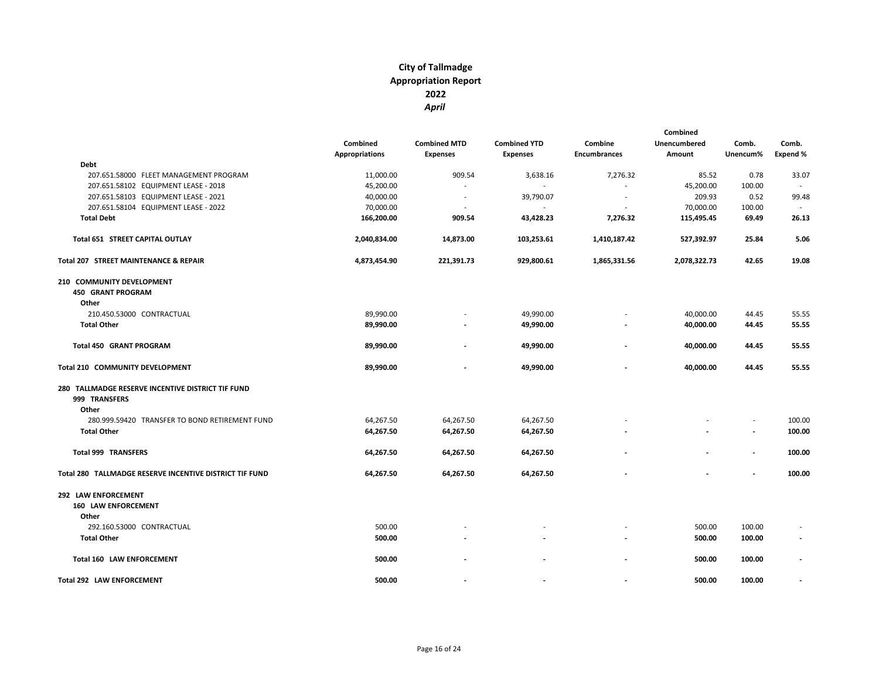|                       |                     |                     | Combined            |                     |          |                          |
|-----------------------|---------------------|---------------------|---------------------|---------------------|----------|--------------------------|
| Combined              | <b>Combined MTD</b> | <b>Combined YTD</b> | Combine             | <b>Unencumbered</b> | Comb.    | Comb.                    |
| <b>Appropriations</b> | <b>Expenses</b>     | <b>Expenses</b>     | <b>Encumbrances</b> | Amount              | Unencum% | Expend %                 |
|                       |                     |                     |                     |                     |          |                          |
| 11,000.00             | 909.54              | 3,638.16            | 7,276.32            | 85.52               | 0.78     | 33.07                    |
| 45,200.00             |                     |                     |                     | 45,200.00           | 100.00   | $\overline{\phantom{a}}$ |
| 40,000.00             |                     | 39,790.07           |                     | 209.93              | 0.52     | 99.48                    |
| 70,000.00             |                     | $\sim$              |                     | 70,000.00           | 100.00   |                          |
| 166,200.00            | 909.54              | 43,428.23           | 7,276.32            | 115,495.45          | 69.49    | 26.13                    |
| 2,040,834.00          | 14,873.00           | 103,253.61          | 1,410,187.42        | 527,392.97          | 25.84    | 5.06                     |
| 4,873,454.90          | 221,391.73          | 929,800.61          | 1,865,331.56        | 2,078,322.73        | 42.65    | 19.08                    |
|                       |                     |                     |                     |                     |          |                          |
|                       |                     |                     |                     |                     |          |                          |
|                       |                     |                     |                     |                     |          |                          |
| 89,990.00             |                     | 49,990.00           |                     | 40,000.00           | 44.45    | 55.55                    |
| 89,990.00             |                     | 49,990.00           |                     | 40,000.00           | 44.45    | 55.55                    |
| 89,990.00             |                     | 49,990.00           |                     | 40,000.00           | 44.45    | 55.55                    |
| 89,990.00             |                     | 49,990.00           |                     | 40,000.00           | 44.45    | 55.55                    |
|                       |                     |                     |                     |                     |          |                          |
|                       |                     |                     |                     |                     |          |                          |
|                       |                     |                     |                     |                     |          |                          |
| 64,267.50             | 64,267.50           | 64,267.50           |                     |                     |          | 100.00                   |
| 64,267.50             | 64,267.50           | 64,267.50           |                     |                     |          | 100.00                   |
|                       |                     |                     |                     |                     |          | 100.00                   |
|                       |                     |                     |                     |                     |          |                          |
| 64,267.50             | 64,267.50           | 64,267.50           |                     |                     |          | 100.00                   |
|                       |                     |                     |                     |                     |          |                          |
|                       |                     |                     |                     |                     |          |                          |
|                       |                     |                     |                     |                     |          |                          |
| 500.00                |                     |                     |                     | 500.00              | 100.00   |                          |
| 500.00                |                     |                     |                     | 500.00              | 100.00   |                          |
| 500.00                |                     |                     |                     | 500.00              | 100.00   |                          |
| 500.00                |                     |                     |                     | 500.00              | 100.00   |                          |
|                       | 64,267.50           | 64,267.50           | 64,267.50           |                     |          |                          |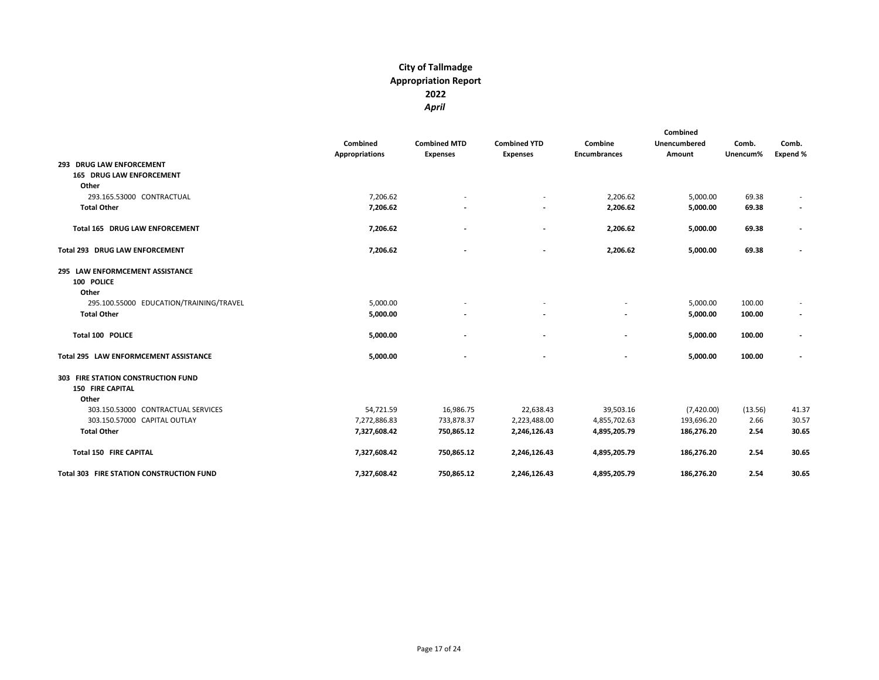|                                                 |                |                     |                          |                          | Combined     |          |                          |
|-------------------------------------------------|----------------|---------------------|--------------------------|--------------------------|--------------|----------|--------------------------|
|                                                 | Combined       | <b>Combined MTD</b> | <b>Combined YTD</b>      | Combine                  | Unencumbered | Comb.    | Comb.                    |
|                                                 | Appropriations | <b>Expenses</b>     | <b>Expenses</b>          | <b>Encumbrances</b>      | Amount       | Unencum% | <b>Expend %</b>          |
| 293 DRUG LAW ENFORCEMENT                        |                |                     |                          |                          |              |          |                          |
| <b>165 DRUG LAW ENFORCEMENT</b>                 |                |                     |                          |                          |              |          |                          |
| Other                                           |                |                     |                          |                          |              |          |                          |
| 293.165.53000 CONTRACTUAL                       | 7,206.62       |                     |                          | 2,206.62                 | 5,000.00     | 69.38    |                          |
| <b>Total Other</b>                              | 7,206.62       |                     |                          | 2,206.62                 | 5,000.00     | 69.38    |                          |
| <b>Total 165 DRUG LAW ENFORCEMENT</b>           | 7,206.62       |                     | $\blacksquare$           | 2,206.62                 | 5,000.00     | 69.38    |                          |
| <b>Total 293 DRUG LAW ENFORCEMENT</b>           | 7,206.62       |                     | $\overline{\phantom{a}}$ | 2,206.62                 | 5,000.00     | 69.38    |                          |
| 295 LAW ENFORMCEMENT ASSISTANCE                 |                |                     |                          |                          |              |          |                          |
| 100 POLICE                                      |                |                     |                          |                          |              |          |                          |
| Other                                           |                |                     |                          |                          |              |          |                          |
| 295.100.55000 EDUCATION/TRAINING/TRAVEL         | 5,000.00       |                     |                          |                          | 5,000.00     | 100.00   |                          |
| <b>Total Other</b>                              | 5,000.00       |                     |                          |                          | 5,000.00     | 100.00   | $\overline{\phantom{a}}$ |
| Total 100 POLICE                                | 5,000.00       |                     |                          |                          | 5,000.00     | 100.00   |                          |
| Total 295 LAW ENFORMCEMENT ASSISTANCE           | 5,000.00       |                     | $\overline{\phantom{a}}$ | $\overline{\phantom{a}}$ | 5,000.00     | 100.00   |                          |
| 303 FIRE STATION CONSTRUCTION FUND              |                |                     |                          |                          |              |          |                          |
| <b>150 FIRE CAPITAL</b>                         |                |                     |                          |                          |              |          |                          |
| Other                                           |                |                     |                          |                          |              |          |                          |
| 303.150.53000 CONTRACTUAL SERVICES              | 54,721.59      | 16,986.75           | 22,638.43                | 39,503.16                | (7,420.00)   | (13.56)  | 41.37                    |
| 303.150.57000 CAPITAL OUTLAY                    | 7,272,886.83   | 733,878.37          | 2,223,488.00             | 4,855,702.63             | 193,696.20   | 2.66     | 30.57                    |
| <b>Total Other</b>                              | 7,327,608.42   | 750,865.12          | 2,246,126.43             | 4,895,205.79             | 186,276.20   | 2.54     | 30.65                    |
| <b>Total 150 FIRE CAPITAL</b>                   | 7,327,608.42   | 750,865.12          | 2,246,126.43             | 4,895,205.79             | 186,276.20   | 2.54     | 30.65                    |
| <b>Total 303 FIRE STATION CONSTRUCTION FUND</b> | 7,327,608.42   | 750,865.12          | 2,246,126.43             | 4,895,205.79             | 186,276.20   | 2.54     | 30.65                    |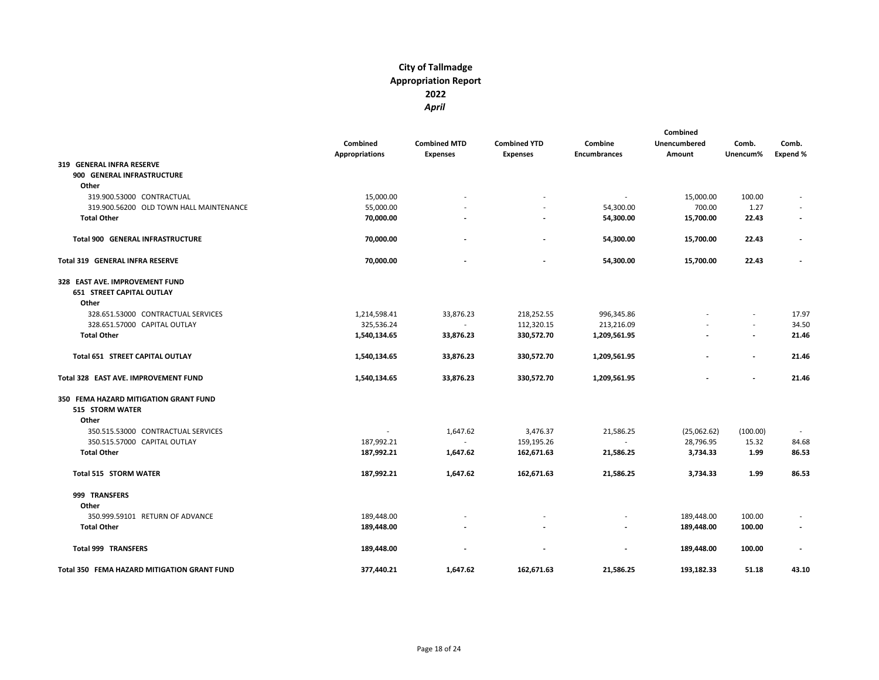|                                             | Combined       | <b>Combined MTD</b> | <b>Combined YTD</b>      | Combine                  | Combined<br>Unencumbered | Comb.                    | Comb.                    |
|---------------------------------------------|----------------|---------------------|--------------------------|--------------------------|--------------------------|--------------------------|--------------------------|
|                                             | Appropriations | <b>Expenses</b>     | <b>Expenses</b>          | <b>Encumbrances</b>      | Amount                   | Unencum%                 | <b>Expend %</b>          |
| 319 GENERAL INFRA RESERVE                   |                |                     |                          |                          |                          |                          |                          |
| 900 GENERAL INFRASTRUCTURE                  |                |                     |                          |                          |                          |                          |                          |
| Other                                       |                |                     |                          |                          |                          |                          |                          |
| 319.900.53000 CONTRACTUAL                   | 15,000.00      |                     |                          |                          | 15,000.00                | 100.00                   |                          |
| 319.900.56200 OLD TOWN HALL MAINTENANCE     | 55,000.00      |                     |                          | 54,300.00                | 700.00                   | 1.27                     |                          |
| <b>Total Other</b>                          | 70,000.00      |                     |                          | 54,300.00                | 15,700.00                | 22.43                    | $\overline{\phantom{a}}$ |
| <b>Total 900 GENERAL INFRASTRUCTURE</b>     | 70,000.00      |                     | $\overline{\phantom{a}}$ | 54,300.00                | 15,700.00                | 22.43                    | $\overline{\phantom{a}}$ |
| <b>Total 319 GENERAL INFRA RESERVE</b>      | 70,000.00      |                     | $\overline{\phantom{a}}$ | 54,300.00                | 15,700.00                | 22.43                    |                          |
| 328 EAST AVE. IMPROVEMENT FUND              |                |                     |                          |                          |                          |                          |                          |
| <b>651 STREET CAPITAL OUTLAY</b>            |                |                     |                          |                          |                          |                          |                          |
| Other<br>328.651.53000 CONTRACTUAL SERVICES |                |                     | 218,252.55               |                          |                          | $\overline{a}$           | 17.97                    |
|                                             | 1,214,598.41   | 33,876.23<br>$\sim$ | 112,320.15               | 996,345.86<br>213,216.09 |                          | $\overline{\phantom{a}}$ | 34.50                    |
| 328.651.57000 CAPITAL OUTLAY                | 325,536.24     |                     |                          |                          |                          | $\overline{\phantom{a}}$ |                          |
| <b>Total Other</b>                          | 1,540,134.65   | 33,876.23           | 330,572.70               | 1,209,561.95             |                          |                          | 21.46                    |
| Total 651 STREET CAPITAL OUTLAY             | 1,540,134.65   | 33,876.23           | 330,572.70               | 1,209,561.95             |                          | $\overline{\phantom{a}}$ | 21.46                    |
| Total 328 EAST AVE. IMPROVEMENT FUND        | 1,540,134.65   | 33,876.23           | 330,572.70               | 1,209,561.95             |                          |                          | 21.46                    |
| 350 FEMA HAZARD MITIGATION GRANT FUND       |                |                     |                          |                          |                          |                          |                          |
| 515 STORM WATER                             |                |                     |                          |                          |                          |                          |                          |
| Other                                       |                |                     |                          |                          |                          |                          |                          |
| 350.515.53000 CONTRACTUAL SERVICES          |                | 1,647.62            | 3,476.37                 | 21,586.25                | (25,062.62)              | (100.00)                 |                          |
| 350.515.57000 CAPITAL OUTLAY                | 187,992.21     | $\mathbf{r}$        | 159,195.26               | ÷.                       | 28,796.95                | 15.32                    | 84.68                    |
| <b>Total Other</b>                          | 187,992.21     | 1,647.62            | 162,671.63               | 21,586.25                | 3,734.33                 | 1.99                     | 86.53                    |
| <b>Total 515 STORM WATER</b>                | 187,992.21     | 1,647.62            | 162,671.63               | 21,586.25                | 3,734.33                 | 1.99                     | 86.53                    |
| 999 TRANSFERS                               |                |                     |                          |                          |                          |                          |                          |
| Other                                       |                |                     |                          |                          |                          |                          |                          |
| 350.999.59101 RETURN OF ADVANCE             | 189,448.00     |                     |                          |                          | 189,448.00               | 100.00                   |                          |
| <b>Total Other</b>                          | 189,448.00     |                     |                          |                          | 189,448.00               | 100.00                   | $\overline{\phantom{a}}$ |
| Total 999 TRANSFERS                         | 189,448.00     |                     |                          |                          | 189,448.00               | 100.00                   |                          |
| Total 350 FEMA HAZARD MITIGATION GRANT FUND | 377,440.21     | 1,647.62            | 162,671.63               | 21,586.25                | 193,182.33               | 51.18                    | 43.10                    |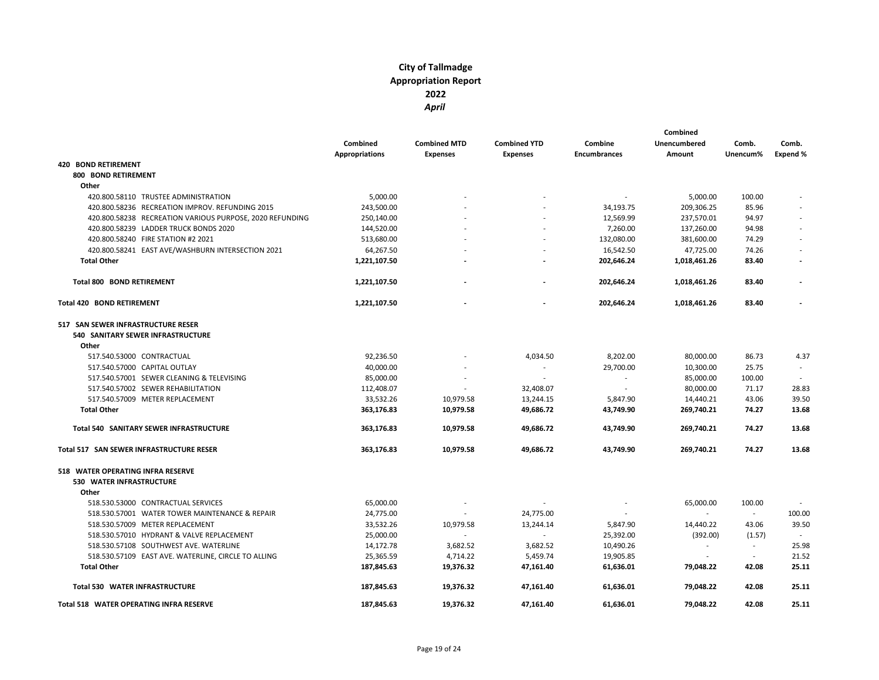|                                                                                  | Combined<br>Appropriations | <b>Combined MTD</b><br><b>Expenses</b> | <b>Combined YTD</b><br><b>Expenses</b> | Combine<br><b>Encumbrances</b> | Combined<br><b>Unencumbered</b><br>Amount | Comb.<br>Unencum% | Comb.<br><b>Expend %</b> |
|----------------------------------------------------------------------------------|----------------------------|----------------------------------------|----------------------------------------|--------------------------------|-------------------------------------------|-------------------|--------------------------|
| <b>420 BOND RETIREMENT</b>                                                       |                            |                                        |                                        |                                |                                           |                   |                          |
| 800 BOND RETIREMENT                                                              |                            |                                        |                                        |                                |                                           |                   |                          |
| Other                                                                            |                            |                                        |                                        |                                |                                           |                   |                          |
| 420.800.58110 TRUSTEE ADMINISTRATION                                             | 5,000.00                   |                                        |                                        |                                | 5,000.00                                  | 100.00            |                          |
| 420.800.58236 RECREATION IMPROV. REFUNDING 2015                                  | 243,500.00                 |                                        |                                        | 34,193.75                      | 209,306.25                                | 85.96             |                          |
| 420.800.58238 RECREATION VARIOUS PURPOSE, 2020 REFUNDING                         | 250,140.00                 |                                        |                                        | 12,569.99                      | 237,570.01                                | 94.97             |                          |
| 420.800.58239 LADDER TRUCK BONDS 2020                                            | 144,520.00                 |                                        |                                        | 7,260.00                       | 137,260.00                                | 94.98             |                          |
| 420.800.58240 FIRE STATION #2 2021                                               | 513,680.00                 |                                        |                                        | 132,080.00                     | 381,600.00                                | 74.29             |                          |
| 420.800.58241 EAST AVE/WASHBURN INTERSECTION 2021                                | 64,267.50                  |                                        |                                        | 16,542.50                      | 47,725.00                                 | 74.26             |                          |
| <b>Total Other</b>                                                               | 1,221,107.50               |                                        |                                        | 202,646.24                     | 1,018,461.26                              | 83.40             |                          |
| Total 800 BOND RETIREMENT                                                        | 1,221,107.50               |                                        |                                        | 202,646.24                     | 1,018,461.26                              | 83.40             |                          |
| <b>Total 420 BOND RETIREMENT</b>                                                 | 1,221,107.50               |                                        |                                        | 202,646.24                     | 1,018,461.26                              | 83.40             |                          |
| 517 SAN SEWER INFRASTRUCTURE RESER<br>540 SANITARY SEWER INFRASTRUCTURE<br>Other |                            |                                        |                                        |                                |                                           |                   |                          |
| 517.540.53000 CONTRACTUAL                                                        | 92,236.50                  |                                        | 4,034.50                               | 8,202.00                       | 80,000.00                                 | 86.73             | 4.37                     |
| 517.540.57000 CAPITAL OUTLAY                                                     | 40,000.00                  |                                        | $\sim$                                 | 29,700.00                      | 10,300.00                                 | 25.75             |                          |
| 517.540.57001 SEWER CLEANING & TELEVISING                                        | 85,000.00                  |                                        |                                        | ٠                              | 85,000.00                                 | 100.00            | $\sim$                   |
| 517.540.57002 SEWER REHABILITATION                                               | 112,408.07                 |                                        | 32,408.07                              | ÷.                             | 80,000.00                                 | 71.17             | 28.83                    |
| 517.540.57009 METER REPLACEMENT                                                  | 33,532.26                  | 10,979.58                              | 13,244.15                              | 5,847.90                       | 14,440.21                                 | 43.06             | 39.50                    |
| <b>Total Other</b>                                                               | 363,176.83                 | 10,979.58                              | 49,686.72                              | 43,749.90                      | 269,740.21                                | 74.27             | 13.68                    |
| Total 540 SANITARY SEWER INFRASTRUCTURE                                          | 363,176.83                 | 10,979.58                              | 49,686.72                              | 43,749.90                      | 269,740.21                                | 74.27             | 13.68                    |
| Total 517 SAN SEWER INFRASTRUCTURE RESER                                         | 363,176.83                 | 10,979.58                              | 49,686.72                              | 43,749.90                      | 269,740.21                                | 74.27             | 13.68                    |
| 518 WATER OPERATING INFRA RESERVE<br>530 WATER INFRASTRUCTURE                    |                            |                                        |                                        |                                |                                           |                   |                          |
| Other                                                                            |                            |                                        |                                        |                                |                                           |                   |                          |
| 518.530.53000 CONTRACTUAL SERVICES                                               | 65,000.00                  |                                        |                                        |                                | 65,000.00                                 | 100.00            |                          |
| 518.530.57001 WATER TOWER MAINTENANCE & REPAIR                                   | 24,775.00                  |                                        | 24,775.00                              |                                | $\overline{\phantom{a}}$                  | $\sim$            | 100.00                   |
| 518.530.57009 METER REPLACEMENT                                                  | 33,532.26                  | 10,979.58                              | 13,244.14                              | 5,847.90                       | 14,440.22                                 | 43.06             | 39.50                    |
| 518.530.57010 HYDRANT & VALVE REPLACEMENT                                        | 25,000.00                  |                                        |                                        | 25,392.00                      | (392.00)                                  | (1.57)            |                          |
| 518.530.57108 SOUTHWEST AVE. WATERLINE                                           | 14,172.78                  | 3,682.52                               | 3,682.52                               | 10,490.26                      | $\overline{\phantom{a}}$                  | $\sim$            | 25.98                    |
| 518.530.57109 EAST AVE. WATERLINE, CIRCLE TO ALLING                              | 25,365.59                  | 4,714.22                               | 5,459.74                               | 19,905.85                      | $\overline{\phantom{a}}$                  | $\sim$            | 21.52                    |
| <b>Total Other</b>                                                               | 187,845.63                 | 19,376.32                              | 47,161.40                              | 61,636.01                      | 79,048.22                                 | 42.08             | 25.11                    |
| <b>Total 530 WATER INFRASTRUCTURE</b>                                            | 187,845.63                 | 19,376.32                              | 47,161.40                              | 61,636.01                      | 79,048.22                                 | 42.08             | 25.11                    |
| Total 518 WATER OPERATING INFRA RESERVE                                          | 187,845.63                 | 19,376.32                              | 47,161.40                              | 61,636.01                      | 79,048.22                                 | 42.08             | 25.11                    |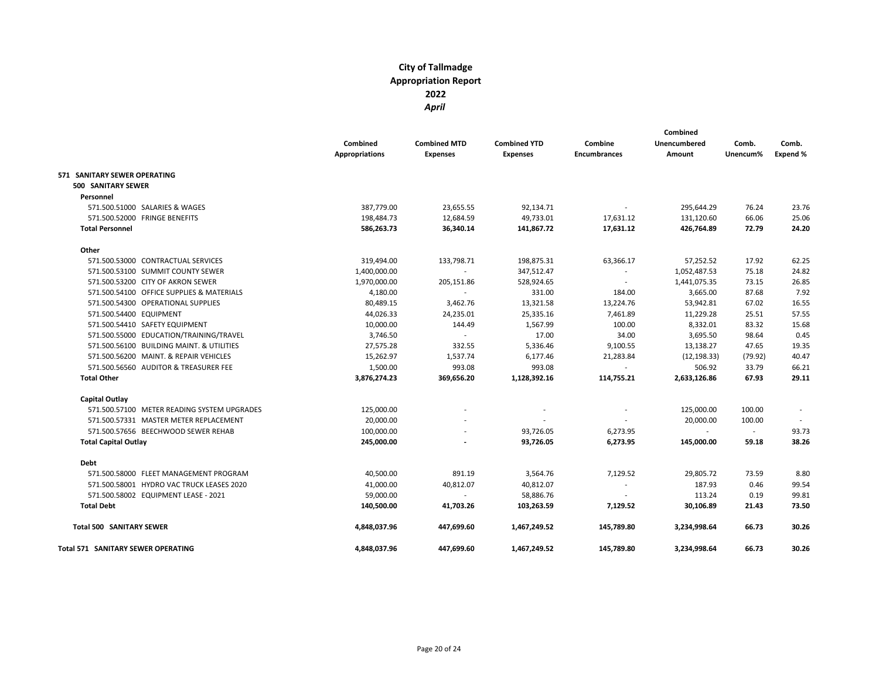|                                             |                       |                     |                     |                     | Combined                 |          |          |
|---------------------------------------------|-----------------------|---------------------|---------------------|---------------------|--------------------------|----------|----------|
|                                             | Combined              | <b>Combined MTD</b> | <b>Combined YTD</b> | Combine             | Unencumbered             | Comb.    | Comb.    |
|                                             | <b>Appropriations</b> | <b>Expenses</b>     | <b>Expenses</b>     | <b>Encumbrances</b> | Amount                   | Unencum% | Expend % |
| 571 SANITARY SEWER OPERATING                |                       |                     |                     |                     |                          |          |          |
| 500 SANITARY SEWER                          |                       |                     |                     |                     |                          |          |          |
| Personnel                                   |                       |                     |                     |                     |                          |          |          |
| 571.500.51000 SALARIES & WAGES              | 387,779.00            | 23,655.55           | 92,134.71           | $\sim$              | 295,644.29               | 76.24    | 23.76    |
| 571.500.52000 FRINGE BENEFITS               | 198,484.73            | 12,684.59           | 49,733.01           | 17,631.12           | 131,120.60               | 66.06    | 25.06    |
| <b>Total Personnel</b>                      | 586,263.73            | 36,340.14           | 141,867.72          | 17,631.12           | 426,764.89               | 72.79    | 24.20    |
| Other                                       |                       |                     |                     |                     |                          |          |          |
| 571.500.53000 CONTRACTUAL SERVICES          | 319,494.00            | 133,798.71          | 198,875.31          | 63,366.17           | 57,252.52                | 17.92    | 62.25    |
| 571.500.53100 SUMMIT COUNTY SEWER           | 1,400,000.00          | $\sim$              | 347,512.47          |                     | 1,052,487.53             | 75.18    | 24.82    |
| 571.500.53200 CITY OF AKRON SEWER           | 1,970,000.00          | 205,151.86          | 528,924.65          |                     | 1,441,075.35             | 73.15    | 26.85    |
| 571.500.54100 OFFICE SUPPLIES & MATERIALS   | 4,180.00              | $\sim$              | 331.00              | 184.00              | 3,665.00                 | 87.68    | 7.92     |
| 571.500.54300 OPERATIONAL SUPPLIES          | 80,489.15             | 3,462.76            | 13,321.58           | 13,224.76           | 53,942.81                | 67.02    | 16.55    |
| 571.500.54400 EQUIPMENT                     | 44,026.33             | 24,235.01           | 25,335.16           | 7,461.89            | 11,229.28                | 25.51    | 57.55    |
| 571.500.54410 SAFETY EQUIPMENT              | 10,000.00             | 144.49              | 1,567.99            | 100.00              | 8,332.01                 | 83.32    | 15.68    |
| 571.500.55000 EDUCATION/TRAINING/TRAVEL     | 3,746.50              |                     | 17.00               | 34.00               | 3,695.50                 | 98.64    | 0.45     |
| 571.500.56100 BUILDING MAINT. & UTILITIES   | 27,575.28             | 332.55              | 5,336.46            | 9,100.55            | 13,138.27                | 47.65    | 19.35    |
| 571.500.56200 MAINT. & REPAIR VEHICLES      | 15,262.97             | 1,537.74            | 6,177.46            | 21,283.84           | (12, 198.33)             | (79.92)  | 40.47    |
| 571.500.56560 AUDITOR & TREASURER FEE       | 1,500.00              | 993.08              | 993.08              |                     | 506.92                   | 33.79    | 66.21    |
| <b>Total Other</b>                          | 3,876,274.23          | 369,656.20          | 1,128,392.16        | 114,755.21          | 2,633,126.86             | 67.93    | 29.11    |
| <b>Capital Outlay</b>                       |                       |                     |                     |                     |                          |          |          |
| 571.500.57100 METER READING SYSTEM UPGRADES | 125,000.00            |                     |                     |                     | 125,000.00               | 100.00   |          |
| 571.500.57331 MASTER METER REPLACEMENT      | 20,000.00             |                     |                     |                     | 20,000.00                | 100.00   |          |
| 571.500.57656 BEECHWOOD SEWER REHAB         | 100,000.00            |                     | 93,726.05           | 6,273.95            | $\overline{\phantom{a}}$ | $\sim$   | 93.73    |
| <b>Total Capital Outlay</b>                 | 245,000.00            |                     | 93,726.05           | 6,273.95            | 145,000.00               | 59.18    | 38.26    |
| Debt                                        |                       |                     |                     |                     |                          |          |          |
| 571.500.58000 FLEET MANAGEMENT PROGRAM      | 40,500.00             | 891.19              | 3,564.76            | 7,129.52            | 29,805.72                | 73.59    | 8.80     |
| 571.500.58001 HYDRO VAC TRUCK LEASES 2020   | 41,000.00             | 40,812.07           | 40,812.07           | $\sim$              | 187.93                   | 0.46     | 99.54    |
| 571.500.58002 EQUIPMENT LEASE - 2021        | 59,000.00             |                     | 58,886.76           |                     | 113.24                   | 0.19     | 99.81    |
| <b>Total Debt</b>                           | 140,500.00            | 41,703.26           | 103,263.59          | 7,129.52            | 30,106.89                | 21.43    | 73.50    |
| <b>Total 500 SANITARY SEWER</b>             | 4,848,037.96          | 447,699.60          | 1,467,249.52        | 145,789.80          | 3,234,998.64             | 66.73    | 30.26    |
| <b>Total 571 SANITARY SEWER OPERATING</b>   | 4,848,037.96          | 447,699.60          | 1,467,249.52        | 145,789.80          | 3,234,998.64             | 66.73    | 30.26    |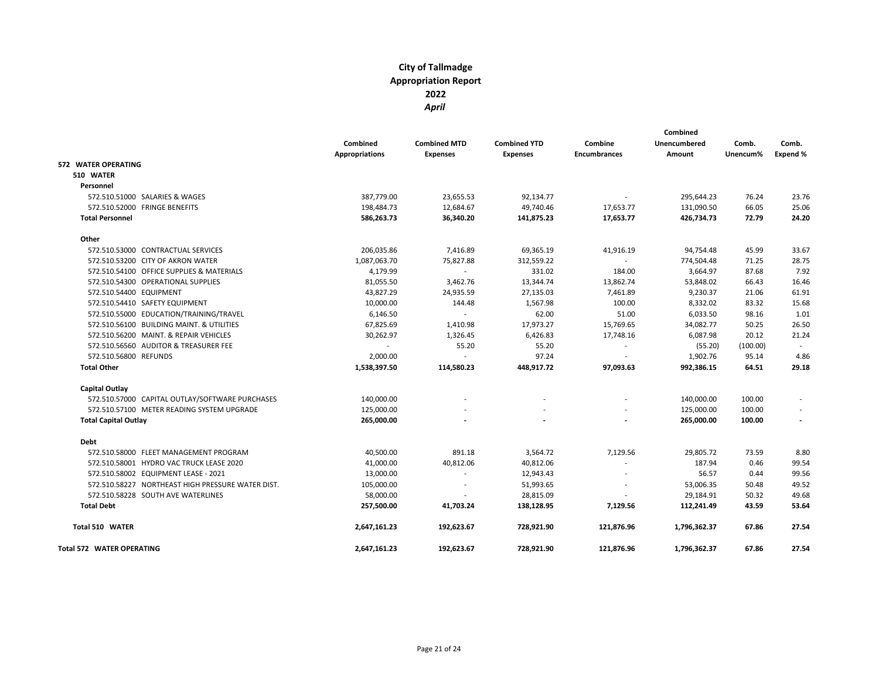|                                                   |                                   |                                        |                                        |                                | Combined               |                   |                   |
|---------------------------------------------------|-----------------------------------|----------------------------------------|----------------------------------------|--------------------------------|------------------------|-------------------|-------------------|
|                                                   | Combined<br><b>Appropriations</b> | <b>Combined MTD</b><br><b>Expenses</b> | <b>Combined YTD</b><br><b>Expenses</b> | Combine<br><b>Encumbrances</b> | Unencumbered<br>Amount | Comb.<br>Unencum% | Comb.<br>Expend % |
| <b>572 WATER OPERATING</b>                        |                                   |                                        |                                        |                                |                        |                   |                   |
| 510 WATER                                         |                                   |                                        |                                        |                                |                        |                   |                   |
| Personnel                                         |                                   |                                        |                                        |                                |                        |                   |                   |
| 572.510.51000 SALARIES & WAGES                    | 387,779.00                        | 23,655.53                              | 92,134.77                              |                                | 295,644.23             | 76.24             | 23.76             |
| 572.510.52000 FRINGE BENEFITS                     | 198,484.73                        | 12,684.67                              | 49,740.46                              | 17,653.77                      | 131,090.50             | 66.05             | 25.06             |
| <b>Total Personnel</b>                            | 586,263.73                        | 36,340.20                              | 141,875.23                             | 17,653.77                      | 426,734.73             | 72.79             | 24.20             |
| Other                                             |                                   |                                        |                                        |                                |                        |                   |                   |
| 572.510.53000 CONTRACTUAL SERVICES                | 206,035.86                        | 7,416.89                               | 69,365.19                              | 41,916.19                      | 94,754.48              | 45.99             | 33.67             |
| 572.510.53200 CITY OF AKRON WATER                 | 1,087,063.70                      | 75,827.88                              | 312,559.22                             |                                | 774,504.48             | 71.25             | 28.75             |
| 572.510.54100 OFFICE SUPPLIES & MATERIALS         | 4,179.99                          |                                        | 331.02                                 | 184.00                         | 3,664.97               | 87.68             | 7.92              |
| 572.510.54300 OPERATIONAL SUPPLIES                | 81,055.50                         | 3,462.76                               | 13,344.74                              | 13,862.74                      | 53,848.02              | 66.43             | 16.46             |
| 572.510.54400 EQUIPMENT                           | 43,827.29                         | 24,935.59                              | 27,135.03                              | 7,461.89                       | 9,230.37               | 21.06             | 61.91             |
| 572.510.54410 SAFETY EQUIPMENT                    | 10,000.00                         | 144.48                                 | 1,567.98                               | 100.00                         | 8,332.02               | 83.32             | 15.68             |
| 572.510.55000 EDUCATION/TRAINING/TRAVEL           | 6,146.50                          | ÷.                                     | 62.00                                  | 51.00                          | 6,033.50               | 98.16             | 1.01              |
| 572.510.56100 BUILDING MAINT. & UTILITIES         | 67,825.69                         | 1,410.98                               | 17,973.27                              | 15,769.65                      | 34,082.77              | 50.25             | 26.50             |
| 572.510.56200 MAINT, & REPAIR VEHICLES            | 30,262.97                         | 1,326.45                               | 6,426.83                               | 17,748.16                      | 6,087.98               | 20.12             | 21.24             |
| 572.510.56560 AUDITOR & TREASURER FEE             |                                   | 55.20                                  | 55.20                                  | $\sim$                         | (55.20)                | (100.00)          | $\sim$            |
| 572.510.56800 REFUNDS                             | 2,000.00                          | L.                                     | 97.24                                  | $\overline{\phantom{a}}$       | 1,902.76               | 95.14             | 4.86              |
| <b>Total Other</b>                                | 1,538,397.50                      | 114,580.23                             | 448,917.72                             | 97,093.63                      | 992,386.15             | 64.51             | 29.18             |
| Capital Outlay                                    |                                   |                                        |                                        |                                |                        |                   |                   |
| 572.510.57000 CAPITAL OUTLAY/SOFTWARE PURCHASES   | 140,000.00                        |                                        |                                        |                                | 140,000.00             | 100.00            |                   |
| 572.510.57100 METER READING SYSTEM UPGRADE        | 125,000.00                        |                                        |                                        |                                | 125,000.00             | 100.00            |                   |
| <b>Total Capital Outlay</b>                       | 265,000.00                        |                                        |                                        |                                | 265,000.00             | 100.00            |                   |
| Debt                                              |                                   |                                        |                                        |                                |                        |                   |                   |
| 572.510.58000 FLEET MANAGEMENT PROGRAM            | 40,500.00                         | 891.18                                 | 3,564.72                               | 7,129.56                       | 29,805.72              | 73.59             | 8.80              |
| 572.510.58001 HYDRO VAC TRUCK LEASE 2020          | 41,000.00                         | 40,812.06                              | 40,812.06                              |                                | 187.94                 | 0.46              | 99.54             |
| 572.510.58002 EQUIPMENT LEASE - 2021              | 13,000.00                         | $\sim$                                 | 12,943.43                              |                                | 56.57                  | 0.44              | 99.56             |
| 572.510.58227 NORTHEAST HIGH PRESSURE WATER DIST. | 105,000.00                        | $\overline{\phantom{a}}$               | 51,993.65                              |                                | 53,006.35              | 50.48             | 49.52             |
| 572.510.58228 SOUTH AVE WATERLINES                | 58,000.00                         |                                        | 28,815.09                              |                                | 29,184.91              | 50.32             | 49.68             |
| <b>Total Debt</b>                                 | 257,500.00                        | 41,703.24                              | 138,128.95                             | 7,129.56                       | 112,241.49             | 43.59             | 53.64             |
| Total 510 WATER                                   | 2,647,161.23                      | 192,623.67                             | 728,921.90                             | 121,876.96                     | 1,796,362.37           | 67.86             | 27.54             |
| <b>Total 572 WATER OPERATING</b>                  | 2.647.161.23                      | 192.623.67                             | 728,921.90                             | 121,876.96                     | 1,796,362.37           | 67.86             | 27.54             |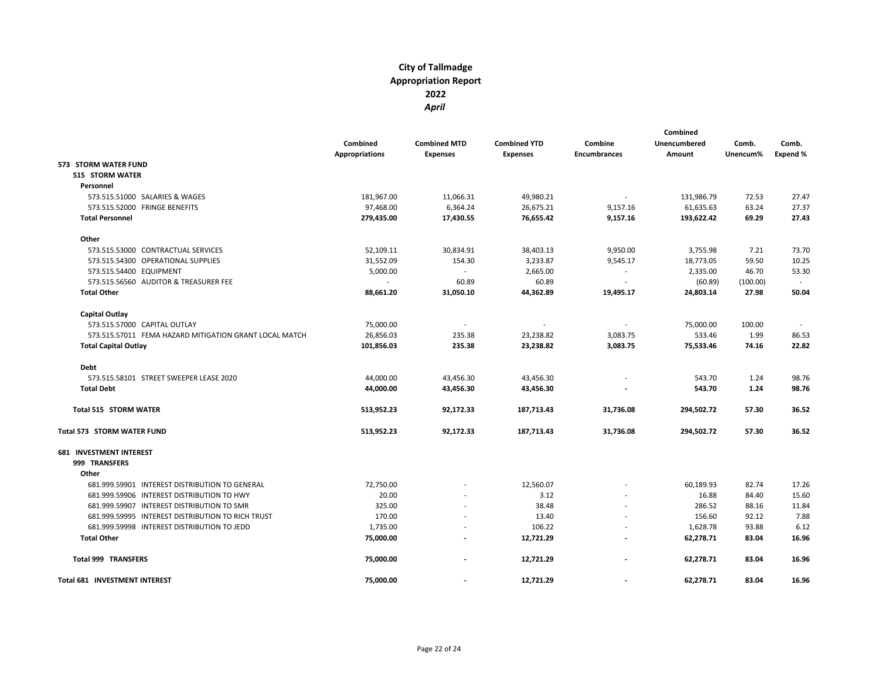|                                                        | Combined              | <b>Combined MTD</b> | <b>Combined YTD</b> | Combine                  | Combined<br><b>Unencumbered</b> | Comb.    | Comb.    |
|--------------------------------------------------------|-----------------------|---------------------|---------------------|--------------------------|---------------------------------|----------|----------|
|                                                        | <b>Appropriations</b> | <b>Expenses</b>     | <b>Expenses</b>     | <b>Encumbrances</b>      | Amount                          | Unencum% | Expend % |
| 573 STORM WATER FUND                                   |                       |                     |                     |                          |                                 |          |          |
| 515 STORM WATER                                        |                       |                     |                     |                          |                                 |          |          |
| Personnel                                              |                       |                     |                     |                          |                                 |          |          |
| 573.515.51000 SALARIES & WAGES                         | 181,967.00            | 11,066.31           | 49,980.21           | $\overline{\phantom{a}}$ | 131,986.79                      | 72.53    | 27.47    |
| 573.515.52000 FRINGE BENEFITS                          | 97,468.00             | 6,364.24            | 26,675.21           | 9,157.16                 | 61,635.63                       | 63.24    | 27.37    |
| <b>Total Personnel</b>                                 | 279,435.00            | 17,430.55           | 76,655.42           | 9,157.16                 | 193,622.42                      | 69.29    | 27.43    |
| Other                                                  |                       |                     |                     |                          |                                 |          |          |
| 573.515.53000 CONTRACTUAL SERVICES                     | 52,109.11             | 30,834.91           | 38,403.13           | 9,950.00                 | 3,755.98                        | 7.21     | 73.70    |
| 573.515.54300 OPERATIONAL SUPPLIES                     | 31,552.09             | 154.30              | 3,233.87            | 9,545.17                 | 18,773.05                       | 59.50    | 10.25    |
| 573.515.54400 EQUIPMENT                                | 5,000.00              | $\sim$              | 2,665.00            | $\overline{\phantom{a}}$ | 2,335.00                        | 46.70    | 53.30    |
| 573.515.56560 AUDITOR & TREASURER FEE                  | $\sim$                | 60.89               | 60.89               | $\overline{\phantom{a}}$ | (60.89)                         | (100.00) |          |
| <b>Total Other</b>                                     | 88,661.20             | 31,050.10           | 44,362.89           | 19,495.17                | 24,803.14                       | 27.98    | 50.04    |
| <b>Capital Outlay</b>                                  |                       |                     |                     |                          |                                 |          |          |
| 573.515.57000 CAPITAL OUTLAY                           | 75,000.00             |                     |                     |                          | 75,000.00                       | 100.00   |          |
| 573.515.57011 FEMA HAZARD MITIGATION GRANT LOCAL MATCH | 26,856.03             | 235.38              | 23,238.82           | 3,083.75                 | 533.46                          | 1.99     | 86.53    |
| <b>Total Capital Outlay</b>                            | 101,856.03            | 235.38              | 23,238.82           | 3,083.75                 | 75,533.46                       | 74.16    | 22.82    |
| Debt                                                   |                       |                     |                     |                          |                                 |          |          |
| 573.515.58101 STREET SWEEPER LEASE 2020                | 44,000.00             | 43,456.30           | 43,456.30           |                          | 543.70                          | 1.24     | 98.76    |
| <b>Total Debt</b>                                      | 44,000.00             | 43,456.30           | 43,456.30           |                          | 543.70                          | 1.24     | 98.76    |
| <b>Total 515 STORM WATER</b>                           | 513,952.23            | 92,172.33           | 187,713.43          | 31,736.08                | 294,502.72                      | 57.30    | 36.52    |
| <b>Total 573 STORM WATER FUND</b>                      | 513,952.23            | 92,172.33           | 187,713.43          | 31,736.08                | 294,502.72                      | 57.30    | 36.52    |
| <b>681 INVESTMENT INTEREST</b>                         |                       |                     |                     |                          |                                 |          |          |
| 999 TRANSFERS                                          |                       |                     |                     |                          |                                 |          |          |
| Other                                                  |                       |                     |                     |                          |                                 |          |          |
| 681.999.59901 INTEREST DISTRIBUTION TO GENERAL         | 72,750.00             |                     | 12,560.07           |                          | 60,189.93                       | 82.74    | 17.26    |
| 681.999.59906 INTEREST DISTRIBUTION TO HWY             | 20.00                 |                     | 3.12                |                          | 16.88                           | 84.40    | 15.60    |
| 681.999.59907 INTEREST DISTRIBUTION TO SMR             | 325.00                |                     | 38.48               |                          | 286.52                          | 88.16    | 11.84    |
| 681.999.59995 INTEREST DISTRIBUTION TO RICH TRUST      | 170.00                |                     | 13.40               |                          | 156.60                          | 92.12    | 7.88     |
| 681.999.59998 INTEREST DISTRIBUTION TO JEDD            | 1,735.00              |                     | 106.22              |                          | 1,628.78                        | 93.88    | 6.12     |
| <b>Total Other</b>                                     | 75,000.00             |                     | 12,721.29           |                          | 62,278.71                       | 83.04    | 16.96    |
| <b>Total 999 TRANSFERS</b>                             | 75,000.00             |                     | 12,721.29           |                          | 62,278.71                       | 83.04    | 16.96    |
| Total 681 INVESTMENT INTEREST                          | 75,000.00             |                     | 12,721.29           |                          | 62,278.71                       | 83.04    | 16.96    |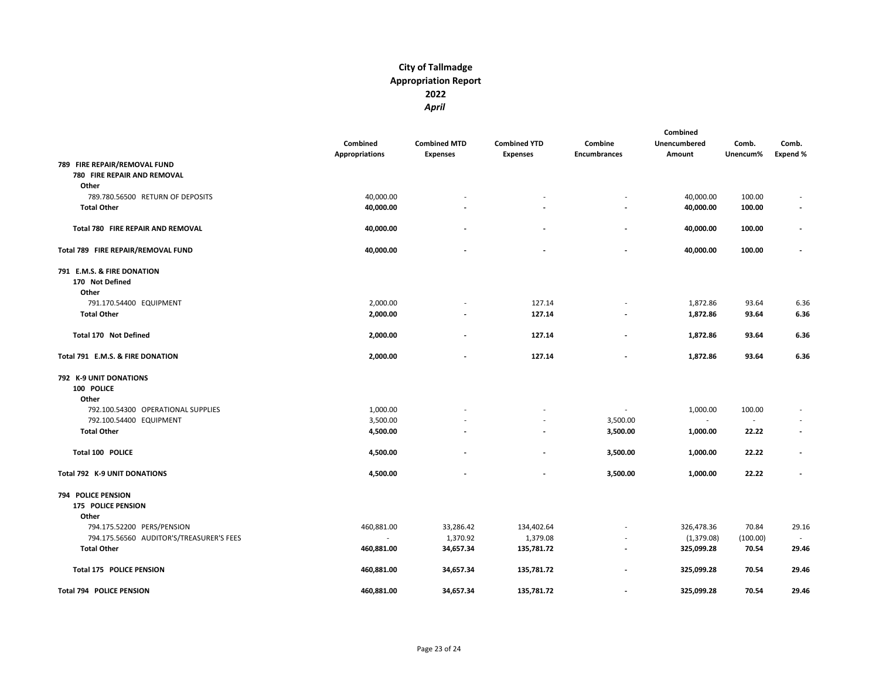|                       |                                   |                          |                          | Combined             |                                   |                               |
|-----------------------|-----------------------------------|--------------------------|--------------------------|----------------------|-----------------------------------|-------------------------------|
| Combined              | <b>Combined MTD</b>               | <b>Combined YTD</b>      | Combine                  | <b>Unencumbered</b>  | Comb.                             | Comb.                         |
| <b>Appropriations</b> | <b>Expenses</b>                   | <b>Expenses</b>          | <b>Encumbrances</b>      | Amount               | Unencum%                          | <b>Expend %</b>               |
|                       |                                   |                          |                          |                      |                                   |                               |
|                       |                                   |                          |                          |                      |                                   |                               |
|                       |                                   |                          |                          |                      |                                   |                               |
| 40,000.00             |                                   |                          |                          | 40,000.00            | 100.00                            |                               |
| 40,000.00             |                                   |                          |                          | 40,000.00            | 100.00                            | $\overline{\phantom{a}}$      |
|                       |                                   |                          |                          |                      |                                   |                               |
| 40,000.00             |                                   |                          |                          | 40,000.00            | 100.00                            |                               |
|                       |                                   |                          |                          |                      |                                   |                               |
|                       |                                   |                          | $\overline{a}$           |                      |                                   | $\blacksquare$                |
|                       |                                   |                          |                          |                      |                                   |                               |
|                       |                                   |                          |                          |                      |                                   |                               |
|                       |                                   |                          |                          |                      |                                   |                               |
| 2,000.00              |                                   | 127.14                   |                          | 1,872.86             | 93.64                             | 6.36                          |
| 2,000.00              |                                   | 127.14                   | $\overline{a}$           | 1,872.86             | 93.64                             | 6.36                          |
|                       |                                   |                          |                          |                      |                                   |                               |
| 2,000.00              |                                   | 127.14                   |                          | 1,872.86             | 93.64                             | 6.36                          |
| 2,000.00              |                                   | 127.14                   |                          | 1,872.86             | 93.64                             | 6.36                          |
|                       |                                   |                          |                          |                      |                                   |                               |
|                       |                                   |                          |                          |                      |                                   |                               |
|                       |                                   |                          |                          |                      |                                   |                               |
| 1,000.00              |                                   |                          |                          | 1,000.00             | 100.00                            |                               |
| 3,500.00              |                                   |                          | 3,500.00                 | $\sim$               | $\blacksquare$                    |                               |
| 4,500.00              |                                   |                          | 3,500.00                 | 1,000.00             | 22.22                             | $\blacksquare$                |
|                       |                                   | $\overline{\phantom{a}}$ |                          |                      | 22.22                             | $\overline{\phantom{a}}$      |
|                       |                                   |                          |                          |                      |                                   |                               |
|                       |                                   |                          |                          |                      |                                   | $\blacksquare$                |
|                       |                                   |                          |                          |                      |                                   |                               |
|                       |                                   |                          |                          |                      |                                   |                               |
|                       |                                   |                          |                          |                      |                                   |                               |
| 460,881.00            | 33,286.42                         | 134,402.64               |                          | 326,478.36           | 70.84                             | 29.16                         |
|                       | 1,370.92                          | 1,379.08                 |                          |                      | (100.00)                          |                               |
| 460,881.00            | 34,657.34                         | 135,781.72               |                          | 325,099.28           | 70.54                             | 29.46                         |
| 460,881.00            | 34,657.34                         | 135,781.72               | $\frac{1}{2}$            | 325,099.28           | 70.54                             | 29.46                         |
| 460,881.00            | 34,657.34                         | 135,781.72               | $\overline{\phantom{a}}$ | 325,099.28           | 70.54                             | 29.46                         |
|                       | 40,000.00<br>4,500.00<br>4,500.00 |                          |                          | 3,500.00<br>3,500.00 | 40,000.00<br>1,000.00<br>1,000.00 | 100.00<br>22.22<br>(1,379.08) |